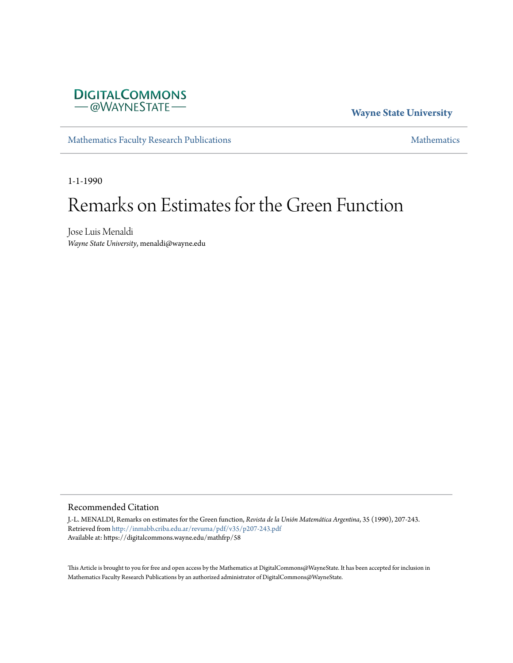

# **Wayne State University**

[Mathematics Faculty Research Publications](https://digitalcommons.wayne.edu/mathfrp) **[Mathematics](https://digitalcommons.wayne.edu/math)** Mathematics

1-1-1990

# Remarks on Estimates for the Green Function

Jose Luis Menaldi *Wayne State University*, menaldi@wayne.edu

# Recommended Citation

J.-L. MENALDI, Remarks on estimates for the Green function, *Revista de la Unión Matemática Argentina*, 35 (1990), 207-243. Retrieved from <http://inmabb.criba.edu.ar/revuma/pdf/v35/p207-243.pdf> Available at: https://digitalcommons.wayne.edu/mathfrp/58

This Article is brought to you for free and open access by the Mathematics at DigitalCommons@WayneState. It has been accepted for inclusion in Mathematics Faculty Research Publications by an authorized administrator of DigitalCommons@WayneState.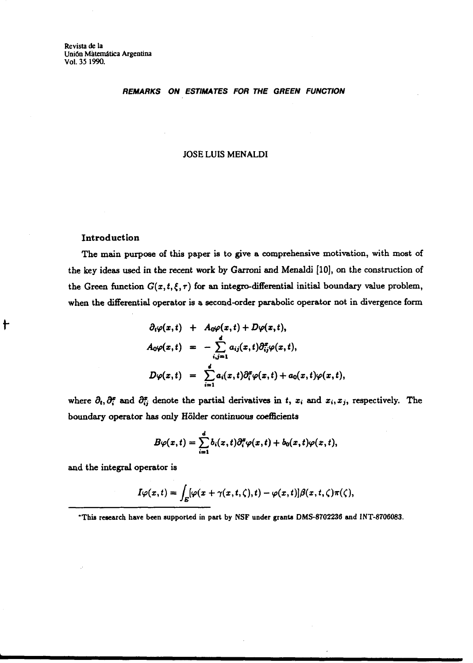**Revista de la Unión Matemática Argentina Vol. 35 1990.** 

### **REMARKS ON ESTIMATES FOR THE GREEN FUNCTION**

### **JOSE LUIS MENALDI**

# Introduction

t

The main purpose of this paper is to give a comprehensive motivation, with most of the **key** ideas used in the recent work by **Garroni** and Menaldi [lo], on the construction of the Green function  $G(x, t, \xi, \tau)$  for an integro-differential initial boundary value problem, when the differential operator is a second-order parabolic operator not in divergence form

$$
\partial_t \varphi(x,t) + A_0 \varphi(x,t) + D\varphi(x,t),
$$
  
\n
$$
A_0 \varphi(x,t) = -\sum_{i,j=1}^d a_{ij}(x,t) \partial_{ij}^x \varphi(x,t),
$$
  
\n
$$
D\varphi(x,t) = \sum_{i=1}^d a_i(x,t) \partial_i^x \varphi(x,t) + a_0(x,t) \varphi(x,t),
$$

where  $\partial_t$ ,  $\partial_i^x$  and  $\partial_{ij}^x$  denote the partial derivatives in t,  $x_i$  and  $x_i, x_j$ , respectively. The boundary operator **has** only Hiilder continuous coefficients

$$
B\varphi(x,t)=\sum_{i=1}^d b_i(x,t)\partial_i^x\varphi(x,t)+b_0(x,t)\varphi(x,t),
$$

and the integral operator is

$$
I\varphi(x,t)=\int_E[\varphi(x+\gamma(x,t,\zeta),t)-\varphi(x,t)]\beta(x,t,\zeta)\pi(\zeta),
$$

**'Thia research have been supported in part by NSF under granb DMS8702236 and INT-8706083.**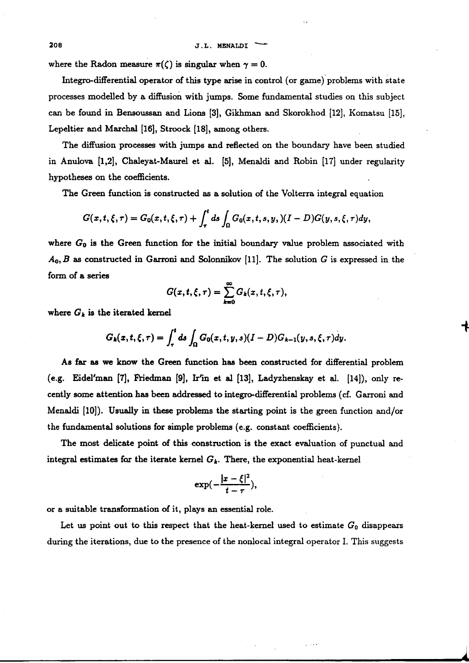**<sup>208</sup>J.L. MENALDI** -

where the Radon measure  $\pi(\zeta)$  is singular when  $\gamma = 0$ .

Integro-differential operator of this type **arise** in control (or game)'problems with state processes modelled by a diffusion with jumps. Some fundamental studies on this subject can be found in Bensoussan and Lions [3], Gikhman and Skorokhod [12], Komatsu [Is], Lepeltier and **Marchal** [16], Stroock [18], among others.

The diffusion processes with jumps and reflected on the boundary have been studied in Anulova [1,2], Chaleyat-Maurel et al. [5], Menaldi and Robin [17] under regularity hypotheses on the coefficients.

The Green function is constructed as a solution of the Volterra integral equation

$$
G(x,t,\xi,\tau)=G_0(x,t,\xi,\tau)+\int_{\tau}^{t}ds\int_{\Omega}G_0(x,t,s,y,(I-D)G(y,s,\xi,\tau)dy,
$$

where  $G_0$  is the Green function for the initial boundary value problem associated with  $A_0, B$  as constructed in Garroni and Solonnikov [11]. The solution G is expressed in the form of a series

$$
G(x,t,\xi,\tau)=\sum_{k=0}^{\infty}G_k(x,t,\xi,\tau),
$$

where  $G_k$  is the iterated kernel

$$
G_k(x,t,\xi,\tau) = \int_{\tau}^{t} ds \int_{\Omega} G_0(x,t,y,s) (I-D) G_{k-1}(y,s,\xi,\tau) dy.
$$

As far **ae** we know the Green function has been constructed for differential problem (e.g. Eidel'man **[7], fiedman** [9], Win et **al** [13], Ladyzhenskay et al. [14]), only recently some attention has been **addressed** to integro-differential problems (cf. Garroni and Menaldi  $[10]$ . Usually in these problems the starting point is the green function and/or the fundamental solutions for simple problems (e.g. constant coefficients).

The most delicate point of this construction is the exact evaluation of punctual and integral estimates for the iterate kernel  $G_k$ . There, the exponential heat-kernel

$$
\exp\left(-\frac{|x-\xi|^2}{t-\tau}\right),\,
$$

or a suitable transformation of it, plays an essential role.

Let us point out to this respect that the heat-kernel used to estimate  $G_0$  disappears during the iterations, due to the presence of the nonlocal integral operator I. This suggests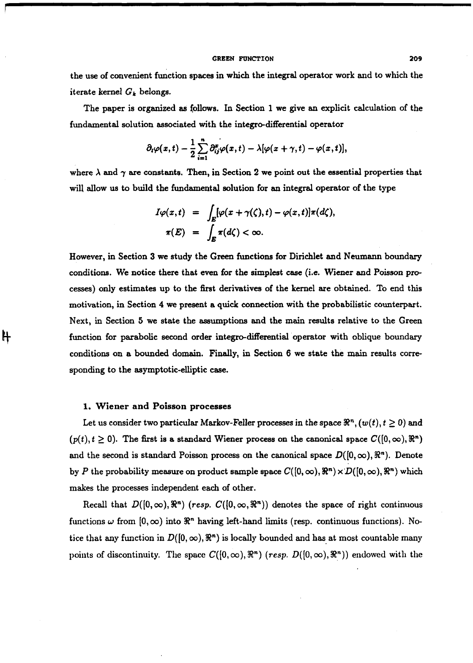#### **GREEN FUNCTION 209**

the use of convenient function spaces in which the integral operator work and to which the iterate kernel **Gk** belongs.

The paper is organized as follows. In Section 1 we give an explicit calculation of the fundamental solution associated with the integro-differential operator

$$
\partial_t \varphi(x,t) - \frac{1}{2} \sum_{i=1}^n \partial_{ij}^x \varphi(x,t) - \lambda [\varphi(x+\gamma,t) - \varphi(x,t)],
$$

where  $\lambda$  and  $\gamma$  are constants. Then, in Section 2 we point out the essential properties that will allow us to build the fundamental solution for an integral operator of the type

$$
I\varphi(x,t) = \int_E [\varphi(x+\gamma(\zeta),t) - \varphi(x,t)]\pi(d\zeta),
$$
  

$$
\pi(E) = \int_E \pi(d\zeta) < \infty.
$$

However, in Section 3 we study the **Green** functions for Dirichlet and Neumann boundary conditions. We notice there that **even** for the simplest case (i.e. Wiener and Poisson pmcesses) only estimates up to the first derivatives of the kernel are obtained. To end this motivation, in Section 4 we present a quick connection with the probabilistic counterpart. Next, in Section 5 we state the assumptions and the main results relative to the Green function for parabolic second order integredifferential operator with oblique boundary conditions on a bounded domain. Finally, in Section 6 we state the main results corresponding to the asymptotic-elliptic case.

### **1.** Wiener and Poisson processes

₦

Let us consider two particular Markov-Feller processes in the space  $\Re^n$ ,  $(w(t), t \ge 0)$  and  $(p(t), t \ge 0)$ . The first is a standard Wiener process on the canonical space  $C([0, \infty), \mathbb{R}^n)$ and the second is standard Poisson process on the canonical space  $D([0,\infty), \mathbb{R}^n)$ . Denote by P the probability measure on product sample space  $C([0, \infty), \mathbb{R}^n) \times D([0, \infty), \mathbb{R}^n)$  which makes the processes independent each of other.

Recall that  $D([0,\infty), \mathbb{R}^n)$  (resp.  $C([0,\infty, \mathbb{R}^n))$  denotes the space of right continuous functions  $\omega$  from  $[0, \infty)$  into  $\mathbb{R}^n$  having left-hand limits (resp. continuous functions). Notice that any function in  $D([0,\infty),\mathbb{R}^n)$  is locally bounded and has at most countable many points of discontinuity. The space  $C([0,\infty), \mathbb{R}^n)$  (resp.  $D([0,\infty), \mathbb{R}^n)$ ) endowed with the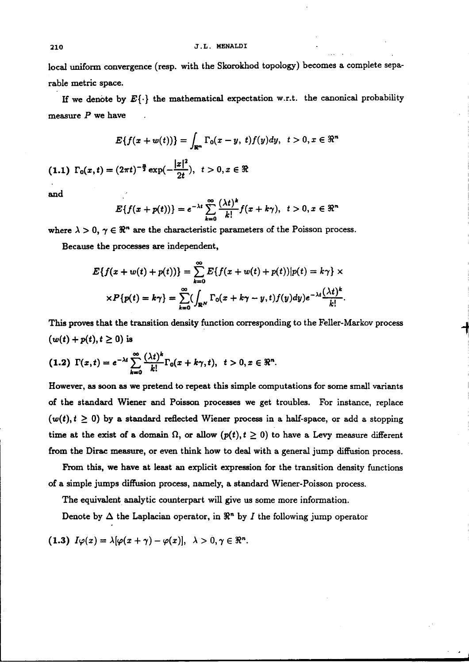local uniform convergence (resp. with the Skorokhod topology) becomes a complete separable metric space.

If we denote by  $E\{\cdot\}$  the mathematical expectation w.r.t. the canonical probability measure  $P$  we have

$$
E\{f(x+w(t))\}=\int_{\mathbb{R}^m}\Gamma_0(x-y,\ t)f(y)dy,\ \ t>0, x\in\mathbb{R}^n
$$

$$
(1.1)\ \Gamma_0(x,t)=(2\pi t)^{-\frac{n}{2}}\exp(-\frac{|x|^2}{2t}),\ t>0, x\in\Re
$$

and

$$
E\{f(x+p(t))\}=e^{-\lambda t}\sum_{k=0}^{\infty}\frac{(\lambda t)^k}{k!}f(x+k\gamma),\ \ t>0, x\in\Re^n
$$

where  $\lambda > 0$ ,  $\gamma \in \mathbb{R}^n$  are the characteristic parameters of the Poisson process.

Because the processes **are** independent,

$$
E\{f(x+w(t)+p(t))\} = \sum_{k=0}^{\infty} E\{f(x+w(t)+p(t))|p(t)=k\gamma\} \times
$$

$$
\times P\{p(t)=k\gamma\} = \sum_{k=0}^{\infty} (\int_{\mathbb{R}^N} \Gamma_0(x+k\gamma-y,t) f(y) dy)e^{-\lambda t} \frac{(\lambda t)^k}{k!}.
$$

This proves that the transition density function corresponding to the Feller-Markov process  $(w(t) + p(t), t \ge 0)$  is

$$
(1.2)\ \Gamma(x,t)=e^{-\lambda t}\sum_{k=0}^{\infty}\frac{(\lambda t)^k}{k!}\Gamma_0(x+k\gamma,t),\ \ t>0, x\in\Re^n.
$$

However, **as** soon **as we** pretend to repeat this simple computations for some small variants of the standard Wiener and Poisson processes we get troubles. For instance, replace  $(w(t), t \ge 0)$  by a standard reflected Wiener process in a half-space, or add a stopping time at the exist of a domain  $\Omega$ , or allow  $(p(t), t \ge 0)$  to have a Levy measure different from the Dirac measure, or even think how to deal with a general jump diffusion process.

From this, we have at least an explicit expression for the transition density functions of a simple jumps diflbion process, namely, a standard Wiener-Poisson process.

The equivalent analytic counterpart will give us some more information.

Denote by  $\Delta$  the Laplacian operator, in  $\mathbb{R}^n$  by I the following jump operator

$$
(1.3) I\varphi(x) = \lambda[\varphi(x+\gamma) - \varphi(x)], \lambda > 0, \gamma \in \Re^{n}.
$$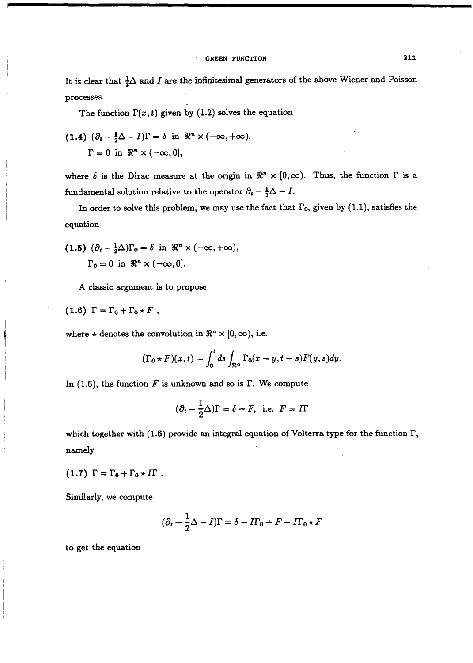It is clear that  $\frac{1}{2}\Delta$  and I are the infinitesimal generators of the above Wiener and Poisson processes.

The function  $\Gamma(x,t)$  given by (1.2) solves the equation

(1.4) 
$$
(\partial_t - \frac{1}{2}\Delta - I)\Gamma = \delta
$$
 in  $\Re^n \times (-\infty, +\infty)$ ,  
\n $\Gamma = 0$  in  $\Re^n \times (-\infty, 0]$ ,

where  $\delta$  is the Dirac measure at the origin in  $\Re^n \times [0,\infty)$ . Thus, the function  $\Gamma$  is a fundamental solution relative to the operator  $\partial_t - \frac{1}{2}\Delta - I$ .

In order to solve this problem, we may use the fact that  $\Gamma_0$ , given by (1.1), satisfies the equation

(1.5) 
$$
(\partial_t - \frac{1}{2}\Delta)\Gamma_0 = \delta
$$
 in  $\Re^n \times (-\infty, +\infty)$ ,  
 $\Gamma_0 = 0$  in  $\Re^n \times (-\infty, 0]$ .

A classic argument is to propose

$$
(1.6) \Gamma = \Gamma_0 + \Gamma_0 \star F ,
$$

I

where  $\star$  denotes the convolution in  $\mathbb{R}^n \times [0, \infty)$ , i.e.

$$
(\Gamma_0 \star F)(x,t) = \int_0^t ds \int_{\mathcal{R}^n} \Gamma_0(x-y,t-s)F(y,s)dy.
$$

In (1.6), the function  $F$  is unknown and so is  $\Gamma$ . We compute

$$
(\partial_t - \frac{1}{2}\Delta)\Gamma = \delta + F, \text{ i.e. } F = I\Gamma
$$

which together with (1.6) provide an integral equation of Volterra type for the function  $\Gamma$ , namely

$$
(1.7) \Gamma = \Gamma_0 + \Gamma_0 \star \mathit{I}\Gamma \; .
$$

Similarly, we compute

$$
(\partial_t - \frac{1}{2}\Delta - I)\Gamma = \delta - I\Gamma_0 + F - I\Gamma_0 \star F
$$

to get the equation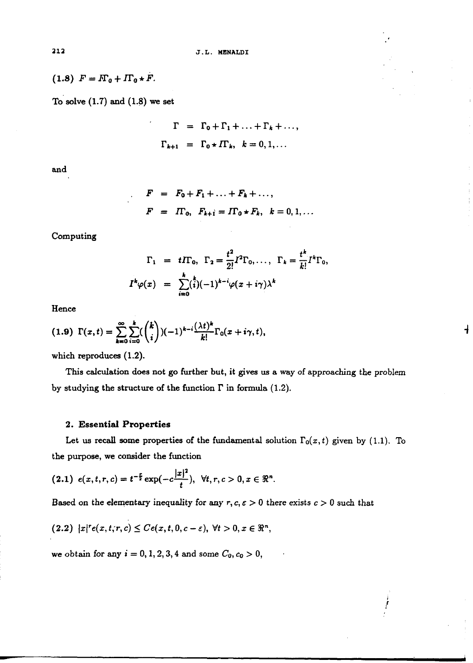$$
(1.8) F = F_0 + F_0 \star F.
$$

To solve  $(1.7)$  and  $(1.8)$  we set

$$
\Gamma = \Gamma_0 + \Gamma_1 + \dots + \Gamma_k + \dots,
$$
  

$$
\Gamma_{k+1} = \Gamma_0 \star \Pi_1, k = 0, 1, \dots
$$

 $F = F_0 + F_1 + \ldots + F_k + \ldots,$ 

**and** 

Computing

$$
\Gamma_1 = t \Gamma_0, \ \Gamma_2 = \frac{t^2}{2!} I^2 \Gamma_0, \ldots, \ \Gamma_k = \frac{t^k}{k!} I^k \Gamma_0,
$$
  

$$
I^k \varphi(x) = \sum_{i=0}^k {t \choose i} (-1)^{k-i} \varphi(x + i\gamma) \lambda^k
$$

 $F = \Pi_0, F_{k+1} = \Pi_0 * F_k, k = 0, 1, ...$ 

Hence

$$
(1.9)\ \Gamma(x,t)=\sum_{k=0}^{\infty}\sum_{i=0}^{k} {k \choose i} (-1)^{k-i} \frac{(\lambda t)^k}{k!} \Gamma_0(x+i\gamma,t),
$$

which reproduces (1.2).

This calculation does not go further but, it gives us a way of approaching the problem by studying the structure of the function  $\Gamma$  in formula (1.2).

 $\mathbf{t}$ 

### **2. Essential Properties**

Let us recall some properties of the fundamental solution  $\Gamma_0(x,t)$  given by (1.1). To the purpose, we consider the function

$$
(2.1) e(x,t,r,c) = t^{-\frac{r}{2}} \exp(-c\frac{|x|^2}{t}), \forall t, r, c > 0, x \in \mathbb{R}^n.
$$

**Based on the elementary inequality for any**  $r, c, \varepsilon > 0$  **there exists**  $c > 0$  **such that** 

$$
(2.2) |x|^r e(x,t,r,c) \leq Ce(x,t,0,c-\varepsilon), \ \forall t>0, x \in \Re^n,
$$

we obtain for any  $i = 0, 1, 2, 3, 4$  and some  $C_0, c_0 > 0$ ,

212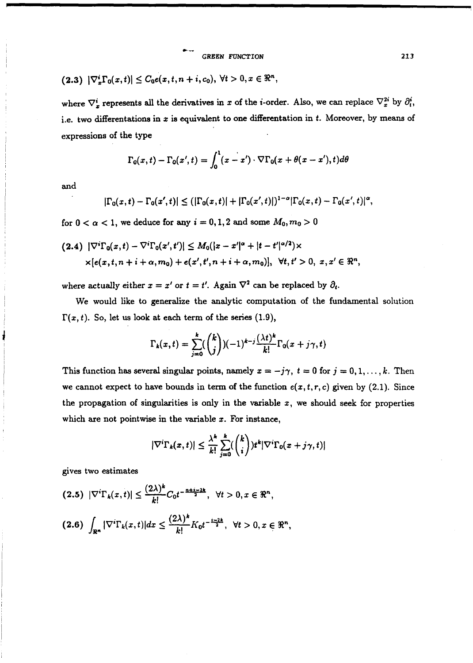$$
(2.3) |\nabla_x^i \Gamma_0(x,t)| \leq C_0 e(x,t,n+i,c_0), \ \forall t > 0, x \in \Re^n,
$$

where  $\nabla_x^i$  represents all the derivatives in x of the *i*-order. Also, we can replace  $\nabla_x^{2i}$  by  $\partial_t^i$ , i.e. two differentations in  $x$  is equivalent to one differentation in  $t$ . Moreover, by means of expressions of the type

$$
\Gamma_0(x,t)-\Gamma_0(x',t)=\int_0^1(x-x')\cdot\nabla\Gamma_0(x+\theta(x-x'),t)d\theta
$$

and

$$
|\Gamma_0(x,t) - \Gamma_0(x',t)| \le (|\Gamma_0(x,t)| + |\Gamma_0(x',t)|)^{1-\alpha} |\Gamma_0(x,t) - \Gamma_0(x',t)|^{\alpha},
$$

for  $0 < \alpha < 1$ , we deduce for any  $i = 0, 1, 2$  and some  $M_0, m_0 > 0$ 

$$
(2.4) \ |\nabla^i \Gamma_0(x,t) - \nabla^i \Gamma_0(x',t')| \leq M_0(|x-x'|^{\alpha} + |t-t'|^{\alpha/2}) \times
$$
  
 
$$
\times [e(x,t,n+i+\alpha,m_0) + e(x',t',n+i+\alpha,m_0)], \ \forall t,t' > 0, \ x, x' \in \Re^n,
$$

where actually either  $x = x'$  or  $t = t'$ . Again  $\nabla^2$  can be replaced by  $\partial_t$ .

We would like to generalize the analytic computation of the fundamental solution  $\Gamma(x, t)$ . So, let us look at each term of the series (1.9),

$$
\Gamma_k(x,t) = \sum_{j=0}^k {k \choose j} (-1)^{k-j} \frac{(\lambda t)^k}{k!} \Gamma_0(x+j\gamma,t)
$$

This function has several singular points, namely  $x = -j\gamma$ ,  $t = 0$  for  $j = 0, 1, ..., k$ . Then we cannot expect to have bounds in term of the function  $e(x, t, r, c)$  given by (2.1). Since the propagation of singularities is only in the variable  $x$ , we should seek for properties which are not pointwise in the variable  $x$ . For instance,

$$
|\nabla^i \Gamma_k(x,t)| \leq \frac{\lambda^k}{k!} \sum_{j=0}^k {k \choose i} t^k |\nabla^i \Gamma_0(x+j\gamma,t)|
$$

gives two estimates

$$
(2.5) \ |\nabla^i \Gamma_k(x,t)| \leq \frac{(2\lambda)^k}{k!} C_0 t^{-\frac{n+i-2k}{2}}, \ \forall t > 0, x \in \Re^n,
$$
\n
$$
(2.6) \ \int_{\Re^n} |\nabla^i \Gamma_k(x,t)| dx \leq \frac{(2\lambda)^k}{k!} K_0 t^{-\frac{1-2k}{2}}, \ \forall t > 0, x \in \Re^n,
$$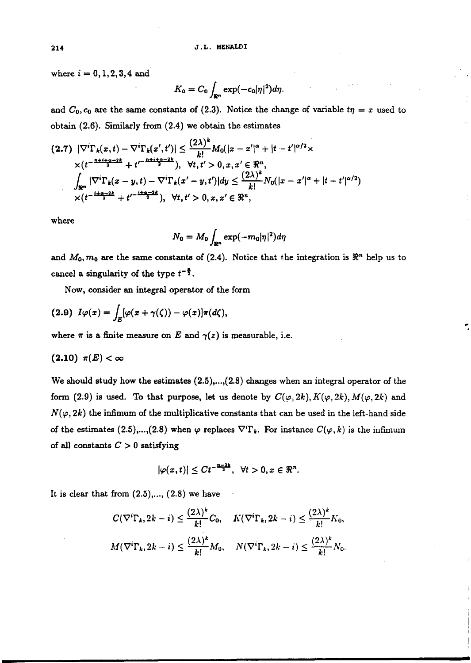where  $i = 0, 1, 2, 3, 4$  and

$$
K_0=C_0\int_{\mathbb{R}^n}\exp(-c_0|\eta|^2)d\eta.
$$

and  $C_0$ ,  $c_0$  are the same constants of (2.3). Notice the change of variable  $t\eta = x$  used to obtain (2.6). Similarly from (2.4) we obtain the estimates

$$
(2.7) \ |\nabla^i \Gamma_k(x,t) - \nabla^i \Gamma_k(x',t')| \leq \frac{(2\lambda)^k}{k!} M_0(|x-x'|^{\alpha} + |t-t'|^{\alpha/2} \times
$$
  
 
$$
\times (t^{-\frac{n+i+q-2k}{2}} + t'^{-\frac{n+i+q-2k}{2}}), \ \forall t,t' > 0, x, x' \in \Re^n,
$$
  
\n
$$
\int_{\Re^n} |\nabla^i \Gamma_k(x-y,t) - \nabla^i \Gamma_k(x'-y,t')| dy \leq \frac{(2\lambda)^k}{k!} N_0(|x-x'|^{\alpha} + |t-t'|^{\alpha/2})
$$
  
\n
$$
\times (t^{-\frac{i+q-2k}{2}} + t'^{-\frac{i+q-2k}{2}}), \ \forall t,t' > 0, x, x' \in \Re^n,
$$

where

$$
N_0 = M_0 \int_{\mathbb{R}^n} \exp(-m_0 |\eta|^2) d\eta
$$

and  $M_0$ ,  $m_0$  are the same constants of (2.4). Notice that the integration is  $\Re^n$  help us to cancel a singularity of the type  $t^{-\frac{n}{2}}$ .

Now, consider an integral operator of the form

$$
(2.9) I\varphi(x) = \int_E [\varphi(x + \gamma(\zeta)) - \varphi(x)]\pi(d\zeta),
$$

where  $\pi$  is a finite measure on E and  $\gamma(z)$  is measurable, i.e.

# $(2.10) \pi(E) < \infty$

We should study how the estimates  $(2.5), ..., (2.8)$  changes when an integral operator of the form (2.9) is used. To that purpose, let us denote by  $C(\varphi, 2k)$ ,  $K(\varphi, 2k)$ ,  $M(\varphi, 2k)$  and  $N(\varphi,2k)$  the infimum of the multiplicative constants that can be used in the left-hand side of the estimates (2.5),...,(2.8) when  $\varphi$  replaces  $\nabla^i \Gamma_k$ . For instance  $C(\varphi, k)$  is the infimum of all constants C > **0** satisfying

$$
|\varphi(x,t)|\leq Ct^{-\frac{n-2k}{2}},\ \forall t>0,x\in\Re^n.
$$

It is clear that from  $(2.5), \ldots$ ,  $(2.8)$  we have

$$
C(\nabla^i \Gamma_k, 2k - i) \leq \frac{(2\lambda)^k}{k!} C_0, \quad K(\nabla^i \Gamma_k, 2k - i) \leq \frac{(2\lambda)^k}{k!} K_0,
$$
  

$$
M(\nabla^i \Gamma_k, 2k - i) \leq \frac{(2\lambda)^k}{k!} M_0, \quad N(\nabla^i \Gamma_k, 2k - i) \leq \frac{(2\lambda)^k}{k!} N_0.
$$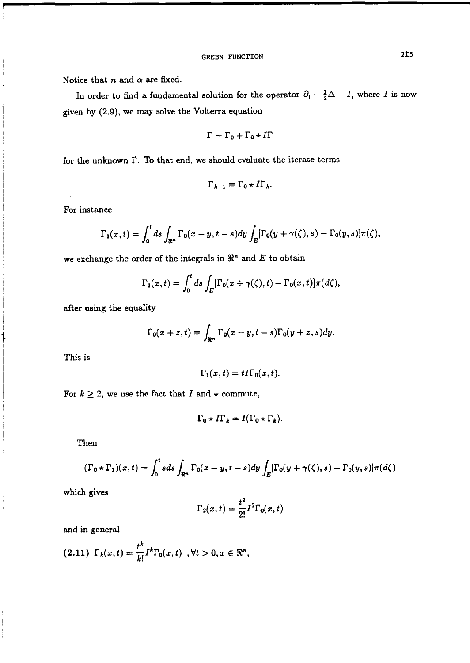Notice that  $n$  and  $\alpha$  are fixed.

In order to find a fundamental solution for the operator  $\partial_t - \frac{1}{2}\Delta - I$ , where I is now <sup>1</sup>given by **(2.9),** we may solve the Volterra equation

$$
\Gamma = \Gamma_0 + \Gamma_0 \star \varGamma
$$

for the unknown I?. To that end, we should evaluate the iterate terms

$$
\Gamma_{k+1} = \Gamma_0 \star \mathit{\Pi}_k.
$$

For instance

$$
\Gamma_1(x,t)=\int_0^t ds \int_{\mathbb{R}^n} \Gamma_0(x-y,t-s) dy \int_E [\Gamma_0(y+\gamma(\zeta),s)-\Gamma_0(y,s)]\pi(\zeta),
$$

we exchange the order of the integrals in  $\Re^n$  and  $E$  to obtain

$$
\Gamma_1(x,t)=\int_0^t ds\int_E[\Gamma_0(x+\gamma(\zeta),t)-\Gamma_0(x,t)]\pi(d\zeta),
$$

after using the equality

$$
\Gamma_0(x+z,t)=\int_{\mathbb{R}^n}\Gamma_0(x-y,t-s)\Gamma_0(y+z,s)dy.
$$

This is

$$
\Gamma_1(x,t)=t\Gamma_0(x,t).
$$

For  $k \geq 2$ , we use the fact that I and  $\star$  commute,

$$
\Gamma_0 \star \Pi_k = I(\Gamma_0 \star \Gamma_k).
$$

Then

$$
(\Gamma_0 \star \Gamma_1)(x,t) = \int_0^t s ds \int_{\mathbb{R}^n} \Gamma_0(x-y,t-s) dy \int_E [\Gamma_0(y+\gamma(\zeta),s) - \Gamma_0(y,s)]\pi(d\zeta)
$$

which gives

$$
\Gamma_2(x,t)=\frac{t^2}{2!}\Gamma^2\Gamma_0(x,t)
$$

and in general

$$
(2.11) \ \Gamma_k(x,t) = \frac{t^k}{k!} I^k \Gamma_0(x,t) \ \ , \forall t > 0, x \in \Re^n,
$$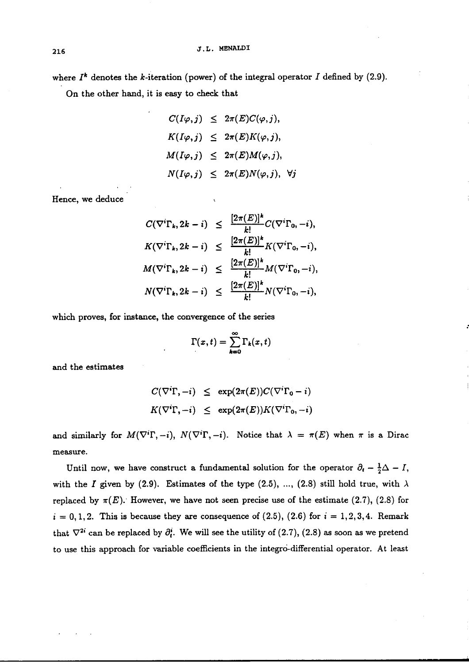where  $I^k$  denotes the *k*-iteration (power) of the integral operator  $I$  defined by (2.9).

On the other hand, it is easy to **check** that

$$
C(I\varphi, j) \leq 2\pi(E)C(\varphi, j),
$$
  
\n
$$
K(I\varphi, j) \leq 2\pi(E)K(\varphi, j),
$$
  
\n
$$
M(I\varphi, j) \leq 2\pi(E)M(\varphi, j),
$$
  
\n
$$
N(I\varphi, j) \leq 2\pi(E)N(\varphi, j), \forall j
$$

Hence, we deduce

$$
C(\nabla^i \Gamma_k, 2k - i) \leq \frac{[2\pi(E)]^k}{k!} C(\nabla^i \Gamma_0, -i),
$$
  
\n
$$
K(\nabla^i \Gamma_k, 2k - i) \leq \frac{[2\pi(E)]^k}{k!} K(\nabla^i \Gamma_0, -i),
$$
  
\n
$$
M(\nabla^i \Gamma_k, 2k - i) \leq \frac{[2\pi(E)]^k}{k!} M(\nabla^i \Gamma_0, -i),
$$
  
\n
$$
N(\nabla^i \Gamma_k, 2k - i) \leq \frac{[2\pi(E)]^k}{k!} N(\nabla^i \Gamma_0, -i),
$$

which proves, for instance, the convergence of the series

$$
\Gamma(x,t)=\sum_{k=0}^\infty \Gamma_k(x,t)
$$

and the estimates

$$
C(\nabla^i \Gamma, -i) \le \exp(2\pi(E))C(\nabla^i \Gamma_0 - i)
$$
  

$$
K(\nabla^i \Gamma, -i) \le \exp(2\pi(E))K(\nabla^i \Gamma_0, -i)
$$

and similarly for  $M(\nabla^i\Gamma, -i)$ ,  $N(\nabla^i\Gamma, -i)$ . Notice that  $\lambda = \pi(E)$  when  $\pi$  is a Dirac measure.

Until now, we have construct a fundamental solution for the operator  $\partial_t - \frac{1}{2}\Delta - I$ , with the *I* given by (2.9). Estimates of the type (2.5), ..., (2.8) still hold true, with  $\lambda$ replaced by  $\pi(E)$ . However, we have not seen precise use of the estimate (2.7), (2.8) for  $i = 0, 1, 2$ . This is because they are consequence of  $(2.5)$ ,  $(2.6)$  for  $i = 1, 2, 3, 4$ . Remark that  $\nabla^{2i}$  can be replaced by  $\partial_t^i$ . We will see the utility of (2.7), (2.8) as soon as we pretend to use this approach for variable coefficients in the integro-differential operator. At least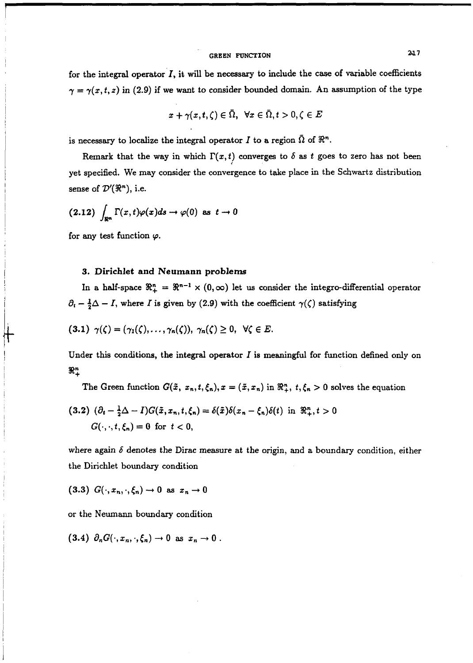# GREEN FUNCTION **217**

for the integral operator  $I$ , it will be necessary to include the case of variable coefficients  $\gamma = \gamma(x, t, z)$  in (2.9) if we want to consider bounded domain. An assumption of the type

$$
x + \gamma(x, t, \zeta) \in \bar{\Omega}, \ \ \forall x \in \bar{\Omega}, t > 0, \zeta \in E
$$

is necessary to localize the integral operator  $I$  to a region  $\overline{\Omega}$  of  $\mathbb{R}^n$ .

Remark that the way in which  $\Gamma(x,t)$  converges to  $\delta$  as t goes to zero has not been yet specified. We may consider the convergence to take place in the Schwartz distribution sense of  $\mathcal{D}'(\mathbb{R}^n)$ , i.e.

$$
(2.12)\,\int_{\mathbb{R}^n}\Gamma(x,t)\varphi(x)ds\to\varphi(0)\,\text{ as }\,t\to 0
$$

for any test function  $\varphi$ .

### 3. Dirichlet and Neumann **problems**

In a half-space  $\mathbb{R}^n_+ = \mathbb{R}^{n-1} \times (0,\infty)$  let us consider the integro-differential operator  $\partial_t - \frac{1}{2}\Delta - I$ , where *I* is given by (2.9) with the coefficient  $\gamma(\zeta)$  satisfying

$$
(3.1) \ \gamma(\zeta)=(\gamma_1(\zeta),\ldots,\gamma_n(\zeta)),\ \gamma_n(\zeta)\geq 0,\ \forall \zeta\in E.
$$

Under this conditions, the integral operator  $I$  is meaningful for function defined only on  $\Re^n_+$ 

The Green function  $G(\tilde{x}, x_n, t, \xi_n)$ ,  $x = (\tilde{x}, x_n)$  in  $\mathbb{R}^n_+$ ,  $t, \xi_n > 0$  solves the equation

$$
(3.2) \ (\partial_t - \frac{1}{2}\Delta - I)G(\tilde{x}, x_n, t, \xi_n) = \delta(\tilde{x})\delta(x_n - \xi_n)\delta(t) \text{ in } \Re^n_+, t > 0
$$
  

$$
G(\cdot, \cdot, t, \xi_n) = 0 \text{ for } t < 0,
$$

where again  $\delta$  denotes the Dirac measure at the origin, and a boundary condition, either the Dirichlet boundary condition

$$
(3.3) G(\cdot, x_n, \cdot, \xi_n) \to 0 \text{ as } x_n \to 0
$$

or the Neumann boundary condition

 $(3.4)$   $\partial_n G(\cdot, x_n, \cdot, \xi_n) \rightarrow 0$  as  $x_n \rightarrow 0$ .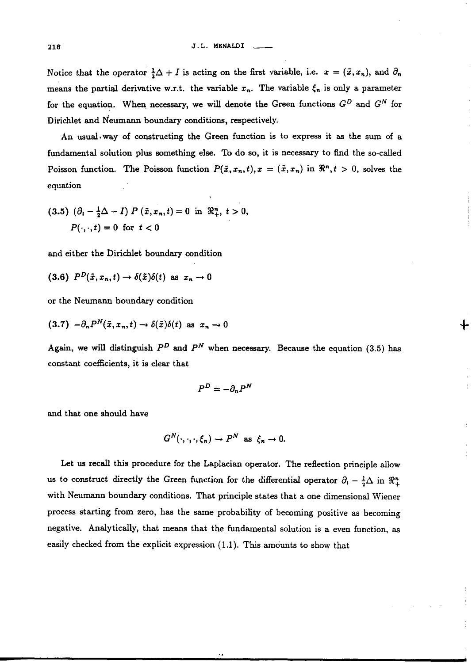Notice that the operator  $\frac{1}{2}\Delta + I$  is acting on the first variable, i.e.  $x = (\tilde{x}, x_n)$ , and  $\partial_n$ means the partial derivative w.r.t. the variable  $x_n$ . The variable  $\xi_n$  is only a parameter for the equation. When necessary, we will denote the Green functions  $G^D$  and  $G^N$  for Dirichlet and N'eumann boundary conditions, respectively.

An usual way of constructing the Green function is to express it as the sum of a fundamental solution plus something else. To do so, it is necessary to find the so-called Poisson function. The Poisson function  $P(\tilde{x}, x_n, t), x = (\tilde{x}, x_n)$  in  $\Re^n, t > 0$ , solves the equation

$$
(3.5) \ (\partial_t - \frac{1}{2}\Delta - I) \ P \ (\tilde{x}, x_n, t) = 0 \ \text{in} \ \Re^n_+, \ t > 0,
$$
  

$$
P(\cdot, \cdot, t) = 0 \ \text{for} \ t < 0
$$

and either the Dirichlet boundary condition

$$
(3.6) \quad P^D(\tilde{x}, x_n, t) \to \delta(\tilde{x})\delta(t) \text{ as } x_n \to 0
$$

or the Neumann boundary condition

$$
(3.7) \ - \partial_n P^N(\tilde{x}, x_n, t) \to \delta(\tilde{x})\delta(t) \text{ as } x_n \to 0
$$

Again, we will distinguish  $P<sup>D</sup>$  and  $P<sup>N</sup>$  when necessary. Because the equation (3.5) has constant coefficients, it is clear that

╊

$$
P^D=-\partial_n P^N
$$

and that one should have

$$
G^N(\cdot,\cdot,\cdot,\xi_n)\to P^N \text{ as } \xi_n\to 0.
$$

Let us recall this procedure for the Laplacian operator. The reflection principle allow us to construct directly the Green function for the differential operator  $\partial_t - \frac{1}{2}\Delta$  in  $\mathbb{R}^n_+$ with Neumann boundary conditions. That principle states that a one dimensional Wiener process starting from zero, has the same probability of becoming positive as becoming negative. Analytically, that means that the fundamental solution is a even function, as easily checked from the explicit expression (1.1). This amounts to show that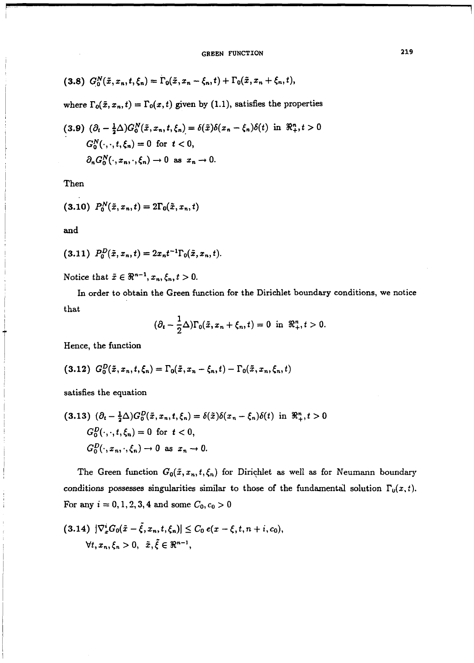$$
(3.8) G_0^N(\tilde{x}, x_n, t, \xi_n) = \Gamma_0(\tilde{x}, x_n - \xi_n, t) + \Gamma_0(\tilde{x}, x_n + \xi_n, t),
$$

where  $\Gamma_0(\tilde{x}, x_n, t) = \Gamma_0(x, t)$  given by (1.1), satisfies the properties

$$
(3.9) \ (\partial_t - \frac{1}{2}\Delta)G_0^N(\tilde{x}, x_n, t, \xi_n) = \delta(\tilde{x})\delta(x_n - \xi_n)\delta(t) \text{ in } \Re_t^n, t > 0
$$

$$
G_0^N(\cdot, \cdot, t, \xi_n) = 0 \text{ for } t < 0,
$$

$$
\partial_n G_0^N(\cdot, x_n, \cdot, \xi_n) \to 0 \text{ as } x_n \to 0.
$$

Then

$$
(3.10) \ \ P_0^N(\tilde{x}, x_n, t) = 2\Gamma_0(\tilde{x}, x_n, t)
$$

and

$$
(3.11) P_0^D(\tilde{x}, x_n, t) = 2x_n t^{-1} \Gamma_0(\tilde{x}, x_n, t).
$$

Notice that  $\tilde{x} \in \Re^{n-1}, x_n, \xi_n, t > 0$ .

In order to obtain the Green function for the Dirichlet boundary conditions, we notice that

$$
(\partial_t - \frac{1}{2}\Delta)\Gamma_0(\tilde{x}, x_n + \xi_n, t) = 0 \text{ in } \Re^n_+, t > 0.
$$

Hence, the function

$$
(3.12) G_0^D(\tilde{x}, x_n, t, \xi_n) = \Gamma_0(\tilde{x}, x_n - \xi_n, t) - \Gamma_0(\tilde{x}, x_n, \xi_n, t)
$$

satisfies the equation

$$
(3.13) \ (\partial_t - \frac{1}{2}\Delta)G_0^D(\tilde{x}, x_n, t, \xi_n) = \delta(\tilde{x})\delta(x_n - \xi_n)\delta(t) \text{ in } \Re^n_+, t > 0
$$
\n
$$
G_0^D(\cdot, \cdot, t, \xi_n) = 0 \text{ for } t < 0,
$$
\n
$$
G_0^D(\cdot, x_n, \cdot, \xi_n) \to 0 \text{ as } x_n \to 0.
$$

The Green function  $G_0(\tilde{x}, x_n, t, \xi_n)$  for Dirichlet as well as for Neumann boundary conditions possesses singularities similar to those of the fundamental solution  $\Gamma_{0}(x, t)$ . For any  $i = 0, 1, 2, 3, 4$  and some  $C_0, c_0 > 0$ 

$$
(3.14) \ |\nabla_x^i G_0(\tilde{x}-\tilde{\xi},x_n,t,\xi_n)| \leq C_0 \ e(x-\xi,t,n+i,c_0),
$$
  

$$
\forall t, x_n, \xi_n > 0, \ \tilde{x}, \tilde{\xi} \in \Re^{n-1},
$$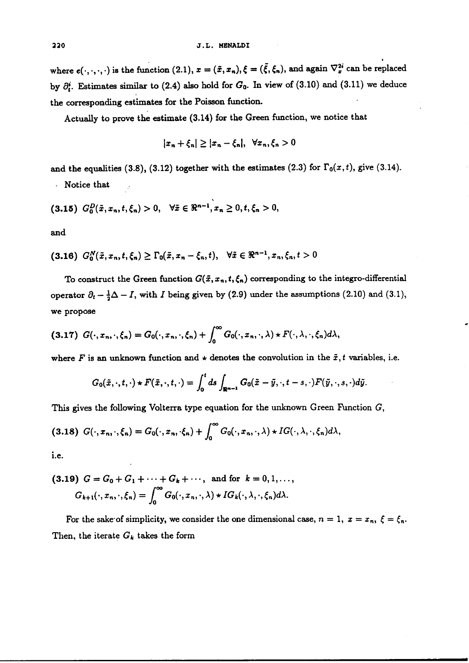where  $e(\cdot, \cdot, \cdot, \cdot)$  is the function (2.1),  $x = (\tilde{x}, x_n), \xi = (\tilde{\xi}, \xi_n)$ , and again  $\nabla_x^{2i}$  can be replaced by  $\partial_t^i$ . Estimates similar to (2.4) also hold for  $G_0$ . In view of (3.10) and (3.11) we deduce the corresponding estimates for the Poisson function.

Actually to prove the estimate (3.14) for the Green function, we notice that

$$
|x_n+\xi_n|\geq |x_n-\xi_n|,\ \forall x_n,\xi_n>0
$$

and the equalities (3.8), (3.12) together with the estimates (2.3) for  $\Gamma_0(x,t)$ , give (3.14).

. Notice that

$$
(3.15) G_0^D(\tilde{x}, x_n, t, \xi_n) > 0, \quad \forall \tilde{x} \in \Re^{n-1}, x_n \geq 0, t, \xi_n > 0,
$$

and

(3.16)  $G_0^N(\tilde{x}, x_n, t, \xi_n) \ge \Gamma_0(\tilde{x}, x_n - \xi_n, t), \quad \forall \tilde{x} \in \Re^{n-1}, x_n, \xi_n, t > 0$ 

To construct the Green function  $G(\tilde{x}, x_n, t, \xi_n)$  corresponding to the integro-differential operator  $\partial_t - \frac{1}{2}\Delta - I$ , with I being given by (2.9) under the assumptions (2.10) and (3.1), we propose

$$
(3.17) G(\cdot,x_n,\cdot,\xi_n) = G_0(\cdot,x_n,\cdot,\xi_n) + \int_0^\infty G_0(\cdot,x_n,\cdot,\lambda) \star F(\cdot,\lambda,\cdot,\xi_n) d\lambda,
$$

where F is an unknown function and  $\star$  denotes the convolution in the  $\tilde{x}$ , t variables, i.e.

$$
G_0(\tilde{x},\cdot,t,\cdot)\star F(\tilde{x},\cdot,t,\cdot)=\int_0^t ds\int_{\mathbb{R}^{n-1}}G_0(\tilde{x}-\tilde{y},\cdot,t-s,\cdot)F(\tilde{y},\cdot,s,\cdot)d\tilde{y}.
$$

This gives the following Volterra type equation for the unknown Green Function  $G$ ,

$$
(3.18) G(\cdot,x_n,\cdot,\xi_n) = G_0(\cdot,x_n,\cdot\xi_n) + \int_0^\infty G_0(\cdot,x_n,\cdot,\lambda) \star IG(\cdot,\lambda,\cdot,\xi_n) d\lambda,
$$

i.e.

(3.19) 
$$
G = G_0 + G_1 + \cdots + G_k + \cdots
$$
, and for  $k = 0, 1, \ldots$ ,  
 $G_{k+1}(\cdot, x_n, \cdot, \xi_n) = \int_0^\infty G_0(\cdot, x_n, \cdot, \lambda) \star IG_k(\cdot, \lambda, \cdot, \xi_n) d\lambda.$ 

For the sake of simplicity, we consider the one dimensional case,  $n = 1$ ,  $x = x_n$ ,  $\xi = \xi_n$ . Then, the iterate  $G_k$  takes the form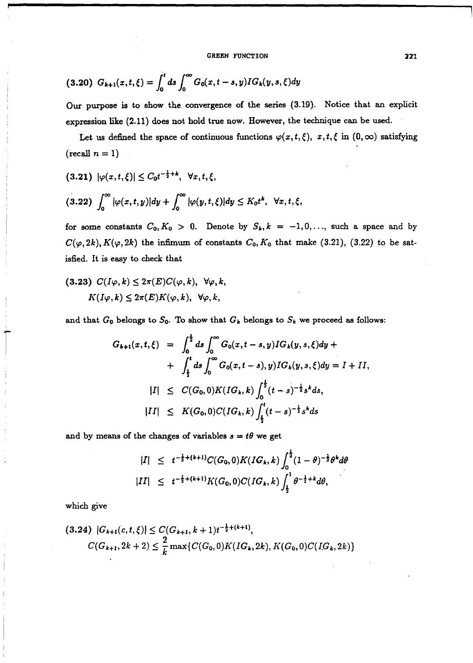GREEN FUNCTION 221

$$
(3.20) G_{k+1}(x,t,\xi) = \int_0^t ds \int_0^\infty G_0(x,t-s,y)IG_k(y,s,\xi)dy
$$

**Our** purpose is to show the convergence of the series *(3.19).* Notice that an explicit expression like *(2.11)* does not hold true now. However, the technique can be used.

Let us defined the space of continuous functions  $\varphi(x, t, \xi)$ ,  $x, t, \xi$  in  $(0, \infty)$  satisfying  $(\text{recall } n=1)$ 

$$
(3.21) \quad |\varphi(x,t,\xi)| \leq C_0 t^{-\frac{1}{2}+k}, \quad \forall x,t,\xi,
$$
  

$$
(3.22) \int_0^\infty |\varphi(x,t,y)| dy + \int_0^\infty |\varphi(y,t,\xi)| dy \leq K_0 t^k, \quad \forall x,t,\xi
$$

for some constants  $C_0, K_0 > 0$ . Denote by  $S_k, k = -1, 0, \ldots$ , such a space and by  $C(\varphi, 2k)$ ,  $K(\varphi, 2k)$  the infimum of constants  $C_0$ ,  $K_0$  that make (3.21), (3.22) to be satisfied. It is easy to check that

$$
(3.23) C(I\varphi, k) \leq 2\pi(E)C(\varphi, k), \ \forall \varphi, k,
$$

$$
K(I\varphi, k) \leq 2\pi(E)K(\varphi, k), \ \forall \varphi, k,
$$

and that  $G_0$  belongs to  $S_0$ . To show that  $G_k$  belongs to  $S_k$  we proceed as follows:

$$
G_{k+1}(x,t,\xi) = \int_0^{\frac{t}{2}} ds \int_0^{\infty} G_0(x,t-s,y) IG_k(y,s,\xi) dy +
$$
  
+ 
$$
\int_{\frac{t}{2}}^t ds \int_0^{\infty} G_0(x,t-s), y) IG_k(y,s,\xi) dy = I + II,
$$
  

$$
|I| \leq C(G_0,0)K(IG_k,k) \int_0^{\frac{t}{2}} (t-s)^{-\frac{1}{2}} s^k ds,
$$
  

$$
|II| \leq K(G_0,0)C(IG_k,k) \int_{\frac{t}{2}}^t (t-s)^{-\frac{1}{2}} s^k ds
$$

and by means of the changes of variables  $s = t\theta$  we get

$$
|I| \leq t^{-\frac{1}{2} + (k+1)} C(G_0, 0) K(IG_k, k) \int_0^{\frac{1}{2}} (1 - \theta)^{-\frac{1}{2}} \theta^k d\theta
$$
  
\n
$$
|II| \leq t^{-\frac{1}{2} + (k+1)} K(G_0, 0) C(IG_k, k) \int_{\frac{1}{2}}^1 \theta^{-\frac{1}{2} + k} d\theta,
$$

which give

$$
(3.24) |G_{k+1}(c,t,\xi)| \le C(G_{k+1},k+1)t^{-\frac{1}{2}+(k+1)},
$$
  

$$
C(G_{k+1},2k+2) \le \frac{2}{k} \max\{C(G_0,0)K(IG_k,2k), K(G_0,0)C(IG_k,2k)\}
$$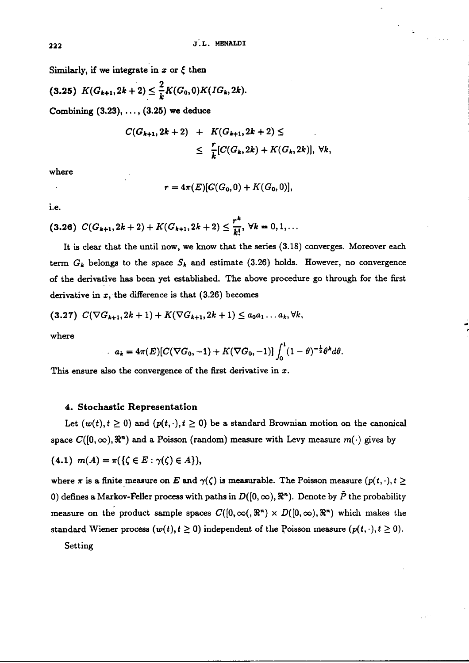Similarly, if we integrate in  $x$  or  $\xi$  then

$$
(3.25) K(G_{k+1}, 2k+2) \leq \frac{2}{k} K(G_0, 0) K(IG_k, 2k).
$$

Combining *(3.23),* . . . , *(3.25) we* deduce

$$
C(G_{k+1}, 2k+2) + K(G_{k+1}, 2k+2) \le
$$
  
 
$$
\leq \frac{r}{k}[C(G_k, 2k) + K(G_k, 2k)], \forall k,
$$

where

$$
r = 4\pi(E)[G(G_0, 0) + K(G_0, 0)],
$$

i.e.

$$
(3.26) C(G_{k+1}, 2k+2) + K(G_{k+1}, 2k+2) \leq \frac{r^k}{k!}, \forall k = 0, 1, ...
$$

It is clear that the until now, we know that the series *(3.18)* converges. Moreover each term  $G_k$  belongs to the space  $S_k$  and estimate (3.26) holds. However, no convergence of the derivative has been yet established. The above procedure go through for the fist derivative in *x,* the difference is that *(3.26)* becomes

$$
(3.27) C(\nabla G_{k+1}, 2k+1) + K(\nabla G_{k+1}, 2k+1) \leq a_0 a_1 \dots a_k, \forall k,
$$

where

$$
a_k = 4\pi(E)[C(\nabla G_0, -1) + K(\nabla G_0, -1)] \int_0^1 (1 - \theta)^{-\frac{1}{2}} \theta^k d\theta.
$$

This ensure also the convergence of the first derivative in *x.* 

### 4. Stochastic Representation

Let  $(w(t), t \ge 0)$  and  $(p(t, \cdot), t \ge 0)$  be a standard Brownian motion on the canonical space  $C([0,\infty), \mathbb{R}^n)$  and a Poisson (random) measure with Levy measure  $m(\cdot)$  gives by (4.1)  $m(A) = \pi({\{\zeta \in E : \gamma(\zeta) \in A\}}),$ 

where  $\pi$  is a finite measure on E and  $\gamma(\zeta)$  is measurable. The Poisson measure  $(p(t, \cdot), t \geq 1)$ 0) defines a Markov-Feller process with paths in  $D([0, \infty), \mathbb{R}^n)$ . Denote by  $\tilde{P}$  the probability measure on the product sample spaces  $C([0,\infty), \mathbb{R}^n) \times D([0,\infty), \mathbb{R}^n)$  which makes the standard Wiener process  $(w(t), t \ge 0)$  independent of the Poisson measure  $(p(t, \cdot), t \ge 0)$ .

Setting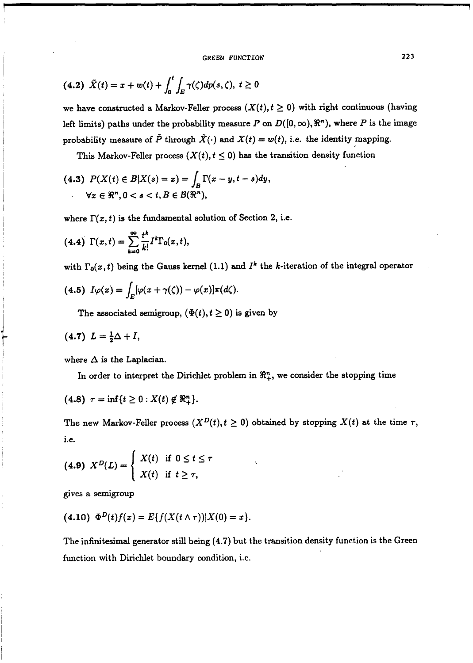**GREEN FUNCTION 223** 

$$
(4.2) \ \tilde{X}(t) = x + w(t) + \int_0^t \int_E \gamma(\zeta) dp(s, \zeta), \ t \ge 0
$$

we have constructed a Markov-Feller process  $(X(t), t \ge 0)$  with right continuous (having left limits) paths under the probability measure P on  $D([0,\infty), \mathbb{R}^n)$ , where P is the image probability measure of  $\tilde{P}$  through  $\tilde{X}(\cdot)$  and  $X(t) = w(t)$ , i.e. the identity mapping.

This Markov-Feller process  $(X(t), t \leq 0)$  has the transition density function

(4.3) 
$$
P(X(t) \in B | X(s) = x) = \int_B \Gamma(x - y, t - s) dy,
$$
  
 $\forall x \in \mathbb{R}^n, 0 < s < t, B \in \mathcal{B}(\mathbb{R}^n),$ 

where  $\Gamma(x, t)$  is the fundamental solution of Section 2, i.e.

(4.4) 
$$
\Gamma(x,t) = \sum_{k=0}^{\infty} \frac{t^k}{k!} I^k \Gamma_0(x,t),
$$

with  $\Gamma_0(x, t)$  being the Gauss kernel (1.1) and  $I^k$  the k-iteration of the integral operator

(4.5) 
$$
I\varphi(x) = \int_E [\varphi(x + \gamma(\zeta)) - \varphi(x)]\pi(d\zeta).
$$

The associated semigroup,  $(\Phi(t), t \ge 0)$  is given by

$$
(4.7) L = \frac{1}{2}\Delta + I,
$$

where  $\Delta$  is the Laplacian.

In order to interpret the Dirichlet problem in  $\mathcal{R}_+^n$ , we consider the stopping time

(4.8) 
$$
\tau = \inf \{ t \ge 0 : X(t) \notin \mathbb{R}_+^n \}.
$$

The new Markov-Feller process  $(X^D(t), t \geq 0)$  obtained by stopping  $X(t)$  at the time  $\tau$ , i.e.

$$
(4.9) \ \ X^D(L) = \left\{ \begin{array}{l} X(t) & \text{if } 0 \leq t \leq \tau \\ X(t) & \text{if } t \geq \tau, \end{array} \right.
$$

gives a semigroup

$$
(4.10) \Phi^{D}(t)f(x) = E\{f(X(t \wedge \tau))|X(0) = x\}.
$$

The infinitesimal generator still being (4.7) but the transition density function is the Green function with Dirichlet boundary condition, i.e.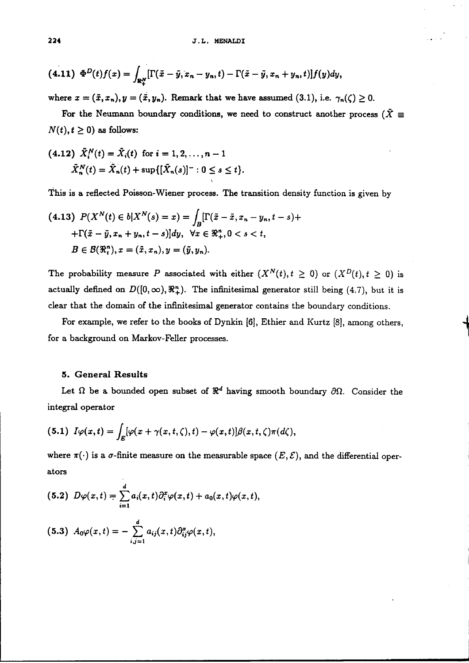$$
(4.11) \ \Phi^D(t)f(x)=\int_{\mathbb{R}_+^N}[\Gamma(\tilde{x}-\tilde{y},x_n-y_n,t)-\Gamma(\tilde{x}-\tilde{y},x_n+y_n,t)]f(y)dy,
$$

where  $x = (\tilde{x}, x_n), y = (\tilde{x}, y_n)$ . Remark that we have assumed (3.1), i.e.  $\gamma_n(\zeta) \ge 0$ .

For the Neumann boundary conditions, we need to construct another process ( $\tilde{X} \equiv$  $N(t), t \geq 0$ ) as follows:

(4.12) 
$$
\tilde{X}_i^N(t) = \tilde{X}_i(t)
$$
 for  $i = 1, 2, ..., n-1$   
\n $\tilde{X}_n^N(t) = \tilde{X}_n(t) + \sup\{[\tilde{X}_n(s)]^- : 0 \le s \le t\}.$ 

This is a reflected Poisson-Wiener process. The transition density function is given by

$$
(4.13) \ P(X^N(t) \in b | X^N(s) = x) = \int_B [\Gamma(\tilde{x} - \tilde{x}, x_n - y_n, t - s) +
$$

$$
+ \Gamma(\tilde{x} - \tilde{y}, x_n + y_n, t - s)] dy, \ \forall x \in \Re_+^n, 0 < s < t,
$$

$$
B \in \mathcal{B}(\Re_t^n), x = (\tilde{x}, x_n), y = (\tilde{y}, y_n).
$$

The probability measure P associated with either  $(X^N(t),t\geq 0)$  or  $(X^D(t),t\geq 0)$  is actually defined on  $D([0, \infty), \mathbb{R}^n_+)$ . The infinitesimal generator still being (4.7), but it is clear that the domain of the infinitesimal generator contains the boundary conditions.

For example, we refer to the books of Dynkin [6], Ethier and Kurtz [8], among others, for a background on Markov-Feller processes.

### 5. General Results

Let  $\Omega$  be a bounded open subset of  $\mathbb{R}^d$  having smooth boundary  $\partial\Omega$ . Consider the integral operator

(5.1) 
$$
I\varphi(x,t) = \int_E [\varphi(x+\gamma(x,t,\zeta),t) - \varphi(x,t)]\beta(x,t,\zeta)\pi(d\zeta),
$$

where  $\pi(\cdot)$  is a  $\sigma$ -finite measure on the measurable space  $(E, \mathcal{E})$ , and the differential operators

$$
(5.2) D\varphi(x,t) = \sum_{i=1}^{d} a_i(x,t) \partial_i^x \varphi(x,t) + a_0(x,t) \varphi(x,t)
$$
  

$$
(5.3) A_0 \varphi(x,t) = -\sum_{i,j=1}^{d} a_{ij}(x,t) \partial_{ij}^x \varphi(x,t),
$$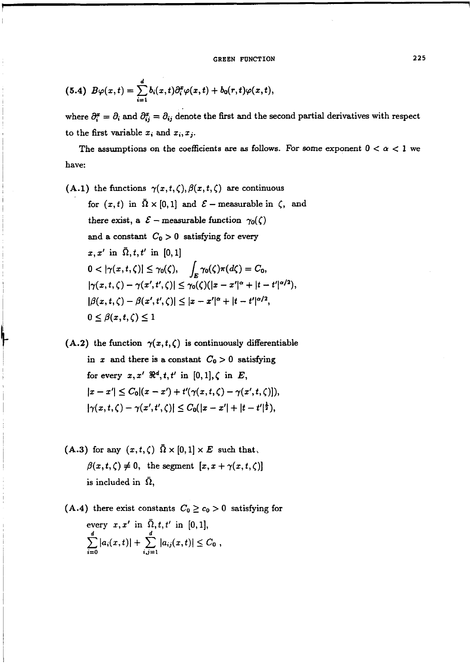$$
(5.4) \ B\varphi(x,t)=\sum_{i=1}^d b_i(x,t)\partial_i^x\varphi(x,t)+b_0(r,t)\varphi(x,t),
$$

where  $\partial_i^x = \partial_i$  and  $\partial_{ij}^x = \partial_{ij}$  denote the first and the second partial derivatives with respect to the first variable  $x_i$  and  $x_i$ ,  $x_j$ .

The assumptions on the coefficients are as follows. For some exponent  $0 < \alpha < 1$  we have:

(A.1) the functions  $\gamma(x, t, \zeta), \beta(x, t, \zeta)$  are continuous for  $(x, t)$  in  $\overline{\Omega} \times [0, 1]$  and  $\mathcal{E}$  – measurable in  $\zeta$ , and there exist, a  $\mathcal{E}$  – measurable function  $\gamma_0(\zeta)$ and a constant  $C_0 > 0$  satisfying for every  $x, x'$  in  $\overline{\Omega}, t, t'$  in [0, 1] **0** <  $|\gamma(x, t, \zeta)| \leq \gamma_0(\zeta), \quad \int_E \gamma_0(\zeta) \pi(d\zeta) = C_0,$ <br>  $|\gamma(x, t, \zeta) - \gamma(x', t', \zeta)| \leq \gamma_0(\zeta)(|x - x'|^{\alpha} + |t - t'|^{\alpha/2})$  $|\gamma(x, t, \zeta) - \gamma(x', t', \zeta)| \leq \gamma_0(\zeta)(|x - x'|^{\alpha} + |t - t'|^{\alpha/2}),$ <br> $|\beta(x, t, \zeta) - \beta(x', t', \zeta)| < |x - x'|^{\alpha} + |t - t'|^{\alpha/2},$  $0 \leq \beta(x,t,\zeta) \leq 1$ 

(A.2) the function  $\gamma(x, t, \zeta)$  is continuously differentiable in x and there is a constant  $C_0 > 0$  satisfying for every  $x, x'$   $\mathbb{R}^d$ ,  $t, t'$  in [0, 1],  $\zeta$  in  $E$ .  $|x - x'| \leq C_0|(x - x') + t'(\gamma(x, t, \zeta) - \gamma(x', t, \zeta))$  $|\gamma(x, t, \zeta) - \gamma(x', t', \zeta)| \leq C_0(|x - x'| + |t - t'|^{\frac{1}{2}}),$ 

(A.3) for any  $(x, t, \zeta)$   $\overline{\Omega} \times [0, 1] \times E$  such that,  $\beta(x, t, \zeta) \neq 0$ , the segment  $[x, x + \gamma(x, t, \zeta)]$ is included in  $\Omega$ ,

(A.4) there exist constants  $C_0 \ge c_0 > 0$  satisfying for every  $x, x'$  in  $\overline{\Omega}, t, t'$  in [0, 1],<br>  $\sum_{i=0}^{d} |a_i(x,t)| + \sum_{i=1}^{d} |a_{ij}(x,t)| \leq C_0$ ,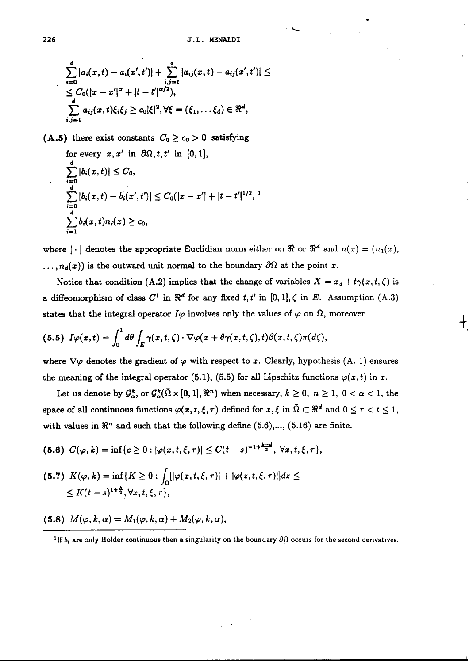$\overline{\phantom{0}}$ 

$$
\sum_{i=0}^{d} |a_i(x,t) - a_i(x',t')| + \sum_{i,j=1}^{d} |a_{ij}(x,t) - a_{ij}(x',t')| \le
$$
  
\n
$$
\le C_0(|x-x'|^{\alpha} + |t-t'|^{\alpha/2}),
$$
  
\n
$$
\sum_{i,j=1}^{d} a_{ij}(x,t)\xi_i\xi_j \ge c_0|\xi|^2, \forall \xi = (\xi_1,\ldots\xi_d) \in \Re^d,
$$

(A.5) there exist constants  $C_0 \ge c_0 > 0$  satisfying

for every 
$$
x, x'
$$
 in  $\partial\Omega, t, t'$  in [0, 1],  
\n
$$
\sum_{i=0}^{d} |b_i(x, t)| \leq C_0,
$$
\n
$$
\sum_{i=0}^{d} |b_i(x, t) - b_i(x', t')| \leq C_0(|x - x'| + |t - t'|^{1/2}, 1)
$$
\n
$$
\sum_{i=1}^{d} b_i(x, t) n_i(x) \geq c_0,
$$

where  $|\cdot|$  denotes the appropriate Euclidian norm either on  $\Re$  or  $\Re^d$  and  $n(x) = (n_1(x),$  $\ldots$ ,  $n_d(x)$ ) is the outward unit normal to the boundary  $\partial\Omega$  at the point *x*.

Notice that condition (A.2) implies that the change of variables  $X = x_d + t\gamma(x, t, \zeta)$  is a diffeomorphism of class  $C^1$  in  $\mathbb{R}^d$  for any fixed  $t, t'$  in  $[0, 1], \zeta$  in  $E$ . Assumption  $(A.3)$ states that the integral operator  $I\varphi$  involves only the values of  $\varphi$  on  $\overline{\Omega}$ , moreover

$$
(5.5) I\varphi(x,t) = \int_0^1 d\theta \int_E \gamma(x,t,\zeta) \cdot \nabla \varphi(x+\theta \gamma(x,t,\zeta),t) \beta(x,t,\zeta) \pi(d\zeta),
$$

where  $\nabla\varphi$  denotes the gradient of  $\varphi$  with respect to *x*. Clearly, hypothesis (A. 1) ensures the meaning of the integral operator (5.1), (5.5) for all Lipschitz functions  $\varphi(x, t)$  in *x*.

Let us denote by  $\mathcal{G}_{\alpha}^{k}$ , or  $\mathcal{G}_{\alpha}^{k}(\bar{\Omega} \times [0, 1], \mathbb{R}^{n})$  when necessary,  $k \geq 0, n \geq 1, 0 < \alpha < 1$ , the space of all continuous functions  $\varphi(x, t, \xi, \tau)$  defined for  $x, \xi$  in  $\overline{\Omega} \subset \mathbb{R}^d$  and  $0 \leq \tau < t \leq 1$ , with values in  $\mathbb{R}^n$  and such that the following define  $(5.6)$ ,...,  $(5.16)$  are finite.

$$
(5.6) \ C(\varphi,k)=\inf\{c\geq 0: |\varphi(x,t,\xi,\tau)|\leq C(t-s)^{-1+\frac{k-a}{2}},\ \forall x,t,\xi,\tau\},\
$$

$$
(5.7) \ K(\varphi, k) = \inf \{ K \ge 0 : \int_{\Omega} [|\varphi(x, t, \xi, \tau)| + |\varphi(z, t, \xi, \tau)|] dz \le
$$
  
\$\le K(t-s)^{1+\frac{k}{2}}, \forall x, t, \xi, \tau\$},

(5.8)  $M(\varphi, k, \alpha) = M_1(\varphi, k, \alpha) + M_2(\varphi, k, \alpha),$ 

<sup>&</sup>lt;sup>1</sup>If  $b_i$  are only Hölder continuous then a singularity on the boundary  $\partial\Omega$  occurs for the second derivatives.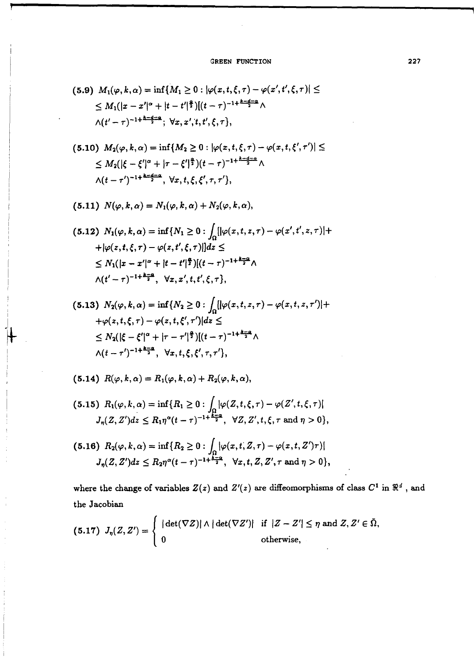$$
(5.9) \ M_1(\varphi, k, \alpha) = \inf\{M_1 \ge 0 : |\varphi(x, t, \xi, \tau) - \varphi(x', t', \xi, \tau)| \le
$$
  
 
$$
\le M_1(|x - x'|^{\alpha} + |t - t'|^{\frac{\alpha}{2}})[(t - \tau)^{-1 + \frac{k - d - \alpha}{2}} \wedge
$$
  
 
$$
\wedge (t' - \tau)^{-1 + \frac{k - d - \alpha}{2}}; \ \forall x, x', t, t', \xi, \tau \},
$$

$$
(5.10) \ M_2(\varphi, k, \alpha) = \inf \{ M_2 \ge 0 : |\varphi(x, t, \xi, \tau) - \varphi(x, t, \xi', \tau')| \le
$$
  
 
$$
\le M_2(|\xi - \xi'|^{\alpha} + |\tau - \xi'|^{\frac{\alpha}{2}})(t - \tau)^{-1 + \frac{k - d - \alpha}{2}} \wedge
$$
  
 
$$
\wedge (t - \tau')^{-1 + \frac{k - d - \alpha}{2}}, \ \forall x, t, \xi, \xi', \tau, \tau' \},
$$

$$
(5.11) N(\varphi, k, \alpha) = N_1(\varphi, k, \alpha) + N_2(\varphi, k, \alpha),
$$

$$
(5.12) N_1(\varphi, k, \alpha) = \inf \{ N_1 \ge 0 : \int_{\Omega} |[\varphi(x, t, z, \tau) - \varphi(x', t', z, \tau)] +
$$
  
+|\varphi(z, t, \xi, \tau) - \varphi(z, t', \xi, \tau)|] dz \le  

$$
\le N_1(|x - x'|^{\alpha} + |t - t'|^{\frac{\alpha}{2}}) [(t - \tau)^{-1 + \frac{k - \alpha}{2}} \wedge
$$
  

$$
\wedge (t' - \tau)^{-1 + \frac{k - \alpha}{2}}, \quad \forall x, x', t, t', \xi, \tau \},
$$

$$
(5.13) N_2(\varphi, k, \alpha) = \inf \{ N_2 \ge 0 : \int_{\Omega} [|\varphi(x, t, z, \tau) - \varphi(x, t, z, \tau')| +
$$
  
+ $\varphi(z, t, \xi, \tau) - \varphi(z, t, \xi', \tau')| dz \le$   
 $\le N_2(|\xi - \xi'|^{\alpha} + |\tau - \tau'|^{\frac{2}{2}})[(t - \tau)^{-1 + \frac{k-2}{2}} \wedge$   
 $\wedge (t - \tau')^{-1 + \frac{k-2}{2}}, \forall x, t, \xi, \xi', \tau, \tau' \},$ 

$$
(5.14) R(\varphi, k, \alpha) = R_1(\varphi, k, \alpha) + R_2(\varphi, k, \alpha),
$$

$$
(5.15) \ \ R_1(\varphi, k, \alpha) = \inf\{R_1 \ge 0 : \int_{\Omega} |\varphi(Z, t, \xi, \tau) - \varphi(Z', t, \xi, \tau)|
$$
  

$$
J_{\eta}(Z, Z')dz \le R_1 \eta^{\alpha} (t - \tau)^{-1 + \frac{k - \alpha}{2}}, \ \ \forall Z, Z', t, \xi, \tau \text{ and } \eta > 0\},
$$

$$
(5.16) \ \ R_2(\varphi, k, \alpha) = \inf\{R_2 \ge 0 : \int_{\Omega} |\varphi(x, t, Z, \tau) - \varphi(x, t, Z')\tau)|
$$
  

$$
J_{\eta}(Z, Z')dz \le R_2\eta^{\alpha}(t-\tau)^{-1+\frac{k-\alpha}{2}}, \ \ \forall x, t, Z, Z', \tau \text{ and } \eta > 0\},
$$

where the change of variables  $Z(z)$  and  $Z'(z)$  are diffeomorphisms of class  $C^1$  in  $\mathbb{R}^d$ , and **the Jacobian** 

(5.17) 
$$
J_{\eta}(Z, Z') = \begin{cases} |\det(\nabla Z)| \wedge |\det(\nabla Z')| & \text{if } |Z - Z'| \leq \eta \text{ and } Z, Z' \in \bar{\Omega}, \\ 0 & \text{otherwise}, \end{cases}
$$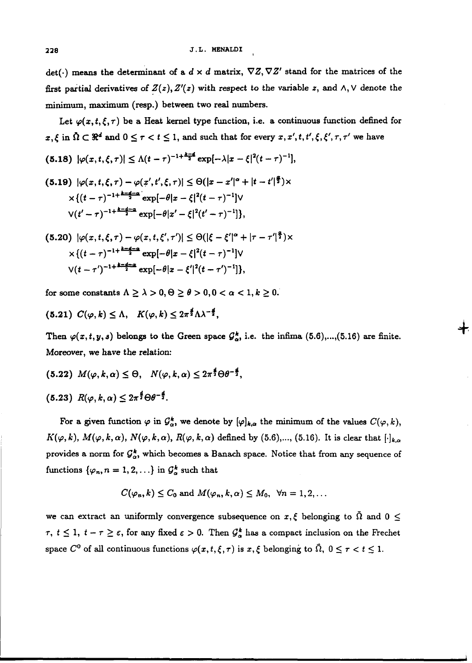det( $\cdot$ ) means the determinant of a  $d \times d$  matrix,  $\nabla Z$ ,  $\nabla Z'$  stand for the matrices of the first partial derivatives of  $Z(z)$ ,  $Z'(z)$  with respect to the variable  $z$ , and  $\wedge$ ,  $\vee$  denote the minimum, **maximum** (resp.) between two real numbers.

Let  $\varphi(x, t, \xi, \tau)$  be a Heat kernel type function, i.e. a continuous function defined for  $x,\xi$  in  $\Omega \subset \mathbb{R}^d$  and  $0 \leq \tau < t \leq 1$ , and such that for every  $x,x',t,t',\xi,\xi',\tau,\tau'$  we have

$$
(5.18) \ |\varphi(x,t,\xi,\tau)| \leq \Lambda (t-\tau)^{-1+\frac{k-4}{2}} \exp[-\lambda |x-\xi|^2 (t-\tau)^{-1}],
$$

$$
(5.19) \ |\varphi(x,t,\xi,\tau) - \varphi(x',t',\xi,\tau)| \leq \Theta(|x-x'|^{\alpha} + |t-t'|^{\frac{\alpha}{2}}) \times
$$
  
 
$$
\times \{(t-\tau)^{-1+\frac{k-4-\alpha}{2}} \exp[-\theta|x-\xi|^2(t-\tau)^{-1}] \vee
$$
  
 
$$
\vee (t'-\tau)^{-1+\frac{k-4-\alpha}{2}} \exp[-\theta|x'-\xi|^2(t'-\tau)^{-1}]\},
$$

$$
(5.20) \ |\varphi(x,t,\xi,\tau) - \varphi(x,t,\xi',\tau')| \leq \Theta(|\xi - \xi'|^{\alpha} + |\tau - \tau'|^{\frac{\alpha}{2}}) \times \times \{ (t-\tau)^{-1+\frac{k-4-\alpha}{2}} \exp[-\theta |x-\xi|^2 (t-\tau)^{-1}] \vee \vee (t-\tau')^{-1+\frac{k-4-\alpha}{2}} \exp[-\theta |x-\xi'|^2 (t-\tau')^{-1}]\},
$$

for some constants  $\Lambda \geq \lambda > 0, \Theta \geq \theta > 0, 0 < \alpha < 1, k \geq 0$ .

 $(5.21)$   $C(\varphi, k) \leq \Lambda$ ,  $K(\varphi, k) \leq 2\pi^{\frac{d}{2}}\Lambda\lambda^{-\frac{d}{2}}$ ,

Then  $\varphi(x, t, y, s)$  belongs to the Green space  $\mathcal{G}_{\alpha}^{k}$ , i.e. the infima (5.6),...,(5.16) are finite. Moreover, we have the relation:

$$
(5.22) M(\varphi, k, \alpha) \leq \Theta, N(\varphi, k, \alpha) \leq 2\pi^{\frac{3}{2}} \Theta \theta^{-\frac{3}{2}},
$$

$$
(5.23) R(\varphi, k, \alpha) \leq 2\pi^{\frac{4}{2}} \Theta \theta^{-\frac{4}{2}}.
$$

For a given function  $\varphi$  in  $\mathcal{G}_{\alpha}^k$ , we denote by  $[\varphi]_{k,\alpha}$  the minimum of the values  $C(\varphi, k)$ ,  $K(\varphi, k)$ ,  $M(\varphi, k, \alpha)$ ,  $N(\varphi, k, \alpha)$ ,  $R(\varphi, k, \alpha)$  defined by (5.6),..., (5.16). It is clear that  $[\cdot]_{k,\alpha}$ provides a norm for  $\mathcal{G}_\alpha^k$ , which becomes a Banach space. Notice that from any sequence of functions  $\{\varphi_n, n = 1, 2, ...\}$  in  $\mathcal{G}^k_\alpha$  such that

$$
C(\varphi_n, k) \leq C_0
$$
 and  $M(\varphi_n, k, \alpha) \leq M_0$ ,  $\forall n = 1, 2, ...$ 

we can extract an uniformly convergence subsequence on  $x, \xi$  belonging to  $\overline{\Omega}$  and  $0 \leq$  $\tau$ ,  $t \leq 1$ ,  $t - \tau \geq \varepsilon$ , for any fixed  $\varepsilon > 0$ . Then  $\mathcal{G}_{\alpha}^{k}$  has a compact inclusion on the Frechet space  $C^0$  of all continuous functions  $\varphi(x, t, \xi, \tau)$  is  $x, \xi$  belonging to  $\overline{\Omega}$ ,  $0 \leq \tau < t \leq 1$ .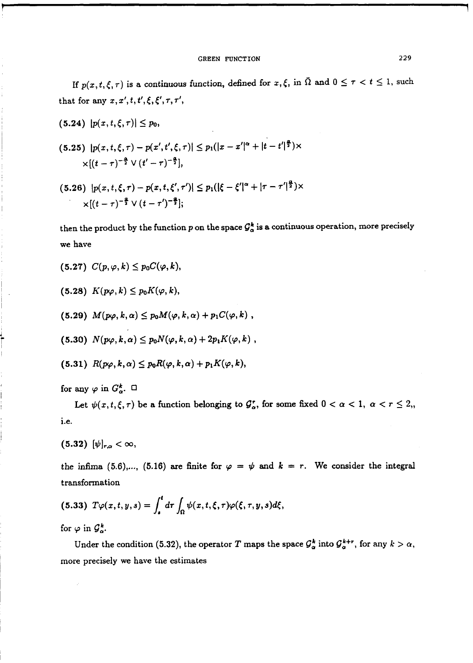### GREEN FUNCTION 229

If  $p(x, t, \xi, \tau)$  is a continuous function, defined for  $x, \xi$ , in  $\overline{\Omega}$  and  $0 \leq \tau < t \leq 1$ , such that for any  $x, x', t, t', \xi, \xi', \tau, \tau'$ ,

$$
(5.24) |p(x,t,\xi,\tau)| \leq p_0,
$$

$$
(5.25) |p(x,t,\xi,\tau)-p(x',t',\xi,\tau)| \leq p_1(|x-x'|^{\alpha}+|t-t'|^{\frac{\alpha}{2}}) \times \\ \times [(t-\tau)^{-\frac{\alpha}{2}} \vee (t'-\tau)^{-\frac{\alpha}{2}}],
$$

$$
\times [(t-\tau)^{-\frac{n}{2}} \vee (t'-\tau)^{-\frac{n}{2}}],
$$
  
(5.26)  $|p(x, t, \xi, \tau) - p(x, t, \xi', \tau')| \le p_1(|\xi - \xi'|^{\alpha} + |\tau - \tau'|^{\frac{n}{2}}) \times$   

$$
\times [(t-\tau)^{-\frac{\alpha}{2}} \vee (t-\tau')^{-\frac{\alpha}{2}}];
$$

then the product by the function  $p$  on the space  $\mathcal{G}^k_\alpha$  is a continuous operation, more precisely we have

$$
(5.27) C(p,\varphi,k) \leq p_0 C(\varphi,k),
$$

$$
(5.28) K(p\varphi, k) \leq p_0 K(\varphi, k),
$$

(5.28) 
$$
K(p\varphi, k) \leq p_0 K(\varphi, k),
$$
  
(5.29)  $M(p\varphi, k, \alpha) \leq p_0 M(\varphi, k, \alpha) + p_1 C(\varphi, k),$ 

$$
(5.30) N(p\varphi, k, \alpha) \leq p_0 N(\varphi, k, \alpha) + 2p_1 K(\varphi, k) ,
$$

(5.30) 
$$
N(p\varphi, k, \alpha) \leq p_0 N(\varphi, k, \alpha) + 2p_1 K(\varphi, k)
$$
  
(5.31)  $R(p\varphi, k, \alpha) \leq p_0 R(\varphi, k, \alpha) + p_1 K(\varphi, k),$ 

# for any  $\varphi$  in  $G^k_\alpha$ .  $\Box$

Let  $\psi(x, t, \xi, \tau)$  be a function belonging to  $\mathcal{G}_{\alpha}^{\tau}$ , for some fixed  $0 < \alpha < 1$ ,  $\alpha < r \leq 2$ , i.e.

$$
(5.32) \ \ [\psi]_{r,\alpha}<\infty,
$$

the infima (5.6),..., (5.16) are finite for  $\varphi = \psi$  and  $k = r$ . We consider the integral transformation

$$
(5.33) T\varphi(x,t,y,s)=\int_s^t d\tau \int_{\Omega} \psi(x,t,\xi,\tau)\varphi(\xi,\tau,y,s)d\xi,
$$

for  $\varphi$  in  $\mathcal{G}_{\alpha}^{k}$ .

Under the condition (5.32), the operator *T* maps the space  $\mathcal{G}_{\alpha}^{k}$  into  $\mathcal{G}_{\alpha}^{k+r}$ , for any  $k > \alpha$ , more precisely we have the estimates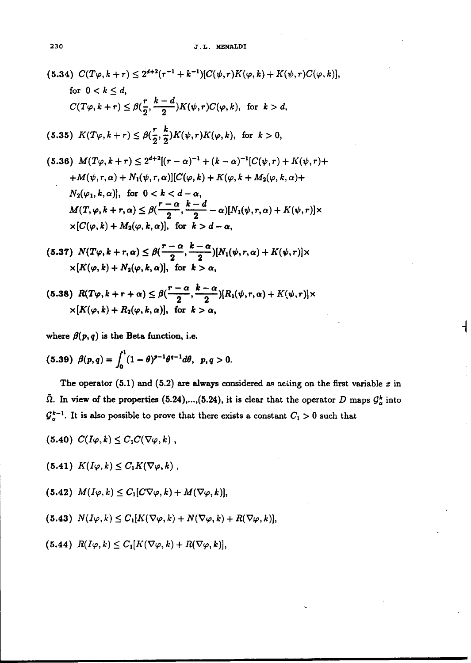230  
\n3. L. HENALDI  
\n(5.34) 
$$
C(T\varphi, k+r) \leq 2^{d+2}(r^{-1}+k^{-1})[C(\psi, r)K(\varphi, k)+K(\psi, r)C(\varphi, k)],
$$
  
\nfor  $0 < k \leq d$ ,  
\n $C(T\varphi, k+r) \leq \beta(\frac{r}{2}, \frac{k-d}{2})K(\psi, r)C(\varphi, k),$  for  $k > d$ ,  
\n(5.35)  $K(T\varphi, k+r) \leq \beta(\frac{r}{2}, \frac{k}{2})K(\psi, r)K(\varphi, k)$ , for  $k > 0$ ,  
\n(5.36)  $M(T\varphi, k+r) \leq 2^{d+2}[(r-\alpha)^{-1}+(k-\alpha)^{-1}[C(\psi, r)+K(\psi, r)+$   
\n $+M(\psi, r, \alpha)+N_1(\psi, r, \alpha)][C(\varphi, k)+K(\varphi, k+M_2(\varphi, k, \alpha)+$   
\n $N_2(\varphi_1, k, \alpha)],$  for  $0 < k < d-\alpha$ ,  
\n $M(T, \varphi, k+r, \alpha) \leq \beta(\frac{r-\alpha}{2}, \frac{k-d}{2}-\alpha)[N_1(\psi, r, \alpha)+K(\psi, r)] \times$   
\n $\times [C(\varphi, k)+M_2(\varphi, k, \alpha)],$  for  $k > d-\alpha$ ,  
\n(5.37)  $N(T\varphi, k+r, \alpha) \leq \beta(\frac{r-\alpha}{2}, \frac{k-\alpha}{2})[N_1(\psi, r, \alpha)+K(\psi, r)] \times$   
\n $\times [K(\varphi, k)+N_2(\varphi, k, \alpha)],$  for  $k > \alpha$ ,

$$
(5.38) R(T\varphi, k+r+\alpha) \leq \beta\left(\frac{r-\alpha}{2}, \frac{k-\alpha}{2}\right)[R_1(\psi, r, \alpha) + K(\psi, r)] \times \\ \times [K(\varphi, k) + R_2(\varphi, k, \alpha)], \text{ for } k > \alpha,
$$

where  $\beta(p,q)$  is the Beta function, i.e.

(5.39) 
$$
\beta(p,q) = \int_0^1 (1-\theta)^{p-1} \theta^{q-1} d\theta
$$
,  $p, q > 0$ .

The operator  $(5.1)$  and  $(5.2)$  are always considered as acting on the first variable  $x$  in  $\bar{\Omega}$ . In view of the properties (5.24),...,(5.24), it is clear that the operator D maps  $\mathcal{G}_{\alpha}^{k}$  into  $\mathcal{G}_{\alpha}^{k-1}$  . It is also possible to prove that there exists a constant  $C_1 > 0$  such that

┫

$$
(5.40) C(I\varphi,k) \leq C_1 C(\nabla \varphi, k) ,
$$

$$
(5.41) K(I\varphi, k) \leq C_1 K(\nabla \varphi, k) ,
$$

$$
(5.42) M(I\varphi, k) \leq C_1[C\nabla\varphi, k) + M(\nabla\varphi, k)],
$$

$$
(5.43) N(I\varphi, k) \leq C_1[K(\nabla \varphi, k) + N(\nabla \varphi, k) + R(\nabla \varphi, k)],
$$

$$
(5.44) R(I\varphi, k) \leq C_1[K(\nabla \varphi, k) + R(\nabla \varphi, k)],
$$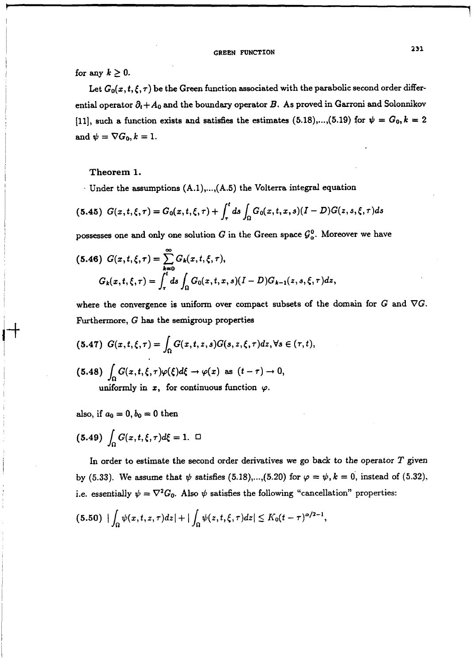## for any  $k \geq 0$ .

Let  $G_0(x, t, \xi, \tau)$  be the Green function associated with the parabolic second order differential operator  $\partial_t + A_0$  and the boundary operator B. As proved in Garroni and Solonnikov [11], such a function exists and satisfies the estimates (5.18),...,(5.19) for  $\psi = G_0, k = 2$ and  $\psi=\nabla G_0, k=1$ .

### **Theorem** 1.

Under the assumptions  $(A.1),..., (A.5)$  the Volterra integral equation

$$
(5.45) \ \ G(x,t,\xi,\tau) = G_0(x,t,\xi,\tau) + \int_{\tau}^{t} ds \int_{\Omega} G_0(x,t,x,s) (I-D) G(z,s,\xi,\tau) ds
$$

possesses one and only one solution G in the Green space  $\mathcal{G}_{\alpha}^{0}$ . Moreover we have

$$
(5.46) G(x,t,\xi,\tau) = \sum_{k=0}^{\infty} G_k(x,t,\xi,\tau),
$$
  

$$
G_k(x,t,\xi,\tau) = \int_{\tau}^{t} ds \int_{\Omega} G_0(x,t,x,s) (I-D) G_{k-1}(z,s,\xi,\tau) dz,
$$

where the convergence is uniform over compact subsets of the domain for  $G$  and  $\nabla G$ . Furthermore,  $G$  has the semigroup properties

(5.47) 
$$
G(x, t, \xi, \tau) = \int_{\Omega} G(x, t, z, s) G(s, z, \xi, \tau) dz, \forall s \in (\tau, t),
$$
  
(5.48)  $\int_{\Omega} G(x, t, \xi, \tau) \varphi(\xi) d\xi \to \varphi(x)$  as  $(t - \tau) \to 0$ ,  
uniformly in x, for continuous function  $\varphi$ .

also, if  $a_0 = 0$ ,  $b_0 = 0$  then

$$
(5.49)\ \int_{\Omega} G(x, t, \xi, \tau) d\xi = 1. \ \ \Box
$$

In order to estimate the second order derivatives we go back to the operator  $T$  given by (5.33). We assume that  $\psi$  satisfies (5.18),...,(5.20) for  $\varphi = \psi, k = 0$ , instead of (5.32), i.e. essentially  $\psi = \nabla^2 G_0$ . Also  $\psi$  satisfies the following "cancellation" properties:

$$
(5.50) \left| \int_{\Omega} \psi(x,t,z,\tau) dz \right| + \left| \int_{\Omega} \psi(z,t,\xi,\tau) dz \right| \leq K_0 (t-\tau)^{\alpha/2-1},
$$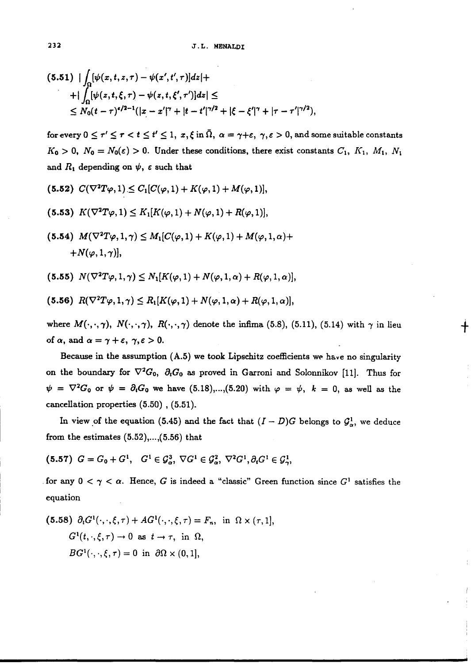$$
(5.51) \mid \int_{\Omega} [\psi(x, t, z, \tau) - \psi(x', t', \tau)]dz| +
$$
  
+ 
$$
\mid \int_{\Omega} [\psi(z, t, \xi, \tau) - \psi(z, t, \xi', \tau')]dz| \le
$$
  

$$
\leq N_0(t - \tau)^{\epsilon/2 - 1} (|x - x'|^{\gamma} + |t - t'|^{\gamma/2} + |\xi - \xi'|^{\gamma} + |\tau - \tau'|^{\gamma/2}),
$$

for every  $0 \le \tau' \le \tau < t \le t' \le 1$ ,  $x, \xi$  in  $\overline{\Omega}$ ,  $\alpha = \gamma + \varepsilon$ ,  $\gamma, \varepsilon > 0$ , and some suitable constants  $K_0 > 0$ ,  $N_0 = N_0(\varepsilon) > 0$ . Under these conditions, there exist constants  $C_1$ ,  $K_1$ ,  $M_1$ ,  $N_1$ and  $R_1$  depending on  $\psi$ ,  $\varepsilon$  such that

$$
(5.52) \ C(\nabla^2 T\varphi,1) \leq C_1[C(\varphi,1) + K(\varphi,1) + M(\varphi,1)],
$$

$$
(5.53) K(\nabla^2 T\varphi, 1) \leq K_1[K(\varphi, 1) + N(\varphi, 1) + R(\varphi, 1)],
$$

(5.54)  $M(\nabla^2 T\varphi, 1, \gamma) \leq M_1[C(\varphi, 1) + K(\varphi, 1) + M(\varphi, 1, \alpha) +$  $+N(\varphi,1,\gamma)$ ,

$$
(5.55) N(\nabla^2 T\varphi, 1, \gamma) \leq N_1[K(\varphi, 1) + N(\varphi, 1, \alpha) + R(\varphi, 1, \alpha)],
$$

$$
(5.56) R(\nabla^2 T\varphi, 1, \gamma) \leq R_1[K(\varphi, 1) + N(\varphi, 1, \alpha) + R(\varphi, 1, \alpha)],
$$

where  $M(\cdot, \cdot, \gamma)$ ,  $N(\cdot, \cdot, \gamma)$ ,  $R(\cdot, \cdot, \gamma)$  denote the infima (5.8), (5.11), (5.14) with  $\gamma$  in lieu of  $\alpha$ , and  $\alpha=\gamma+\varepsilon$ ,  $\gamma,\varepsilon>0$ .

╈

Because in the assumption (A.5) we took Lipschitz coefficients **we** have no singularity on the boundary for  $\nabla^2 G_0$ ,  $\partial_t G_0$  as proved in Garroni and Solonnikov [11]. Thus for  $\psi = \nabla^2 G_0$  or  $\psi = \partial_t G_0$  we have (5.18),...,(5.20) with  $\varphi = \psi$ ,  $k = 0$ , as well as the cancellation properties (5.50) , (5.51).

In view of the equation (5.45) and the fact that  $(I - D)G$  belongs to  $\mathcal{G}_{\alpha}^1$ , we deduce from the estimates  $(5.52),...,(5.56)$  that

$$
(5.57) G = G_0 + G^1, G^1 \in \mathcal{G}_\alpha^3, \nabla G^1 \in \mathcal{G}_\alpha^2, \nabla^2 G^1, \partial_t G^1 \in \mathcal{G}_\gamma^1,
$$

for any  $0 < \gamma < \alpha$ . Hence, G is indeed a "classic" Green function since  $G<sup>1</sup>$  satisfies the equation

(5.58) 
$$
\partial_t G^1(\cdot, \cdot, \xi, \tau) + AG^1(\cdot, \cdot, \xi, \tau) = F_n
$$
, in  $\Omega \times (\tau, 1]$ ,  
\n $G^1(t, \cdot, \xi, \tau) \to 0$  as  $t \to \tau$ , in  $\Omega$ ,  
\n $BG^1(\cdot, \cdot, \xi, \tau) = 0$  in  $\partial\Omega \times (0, 1]$ ,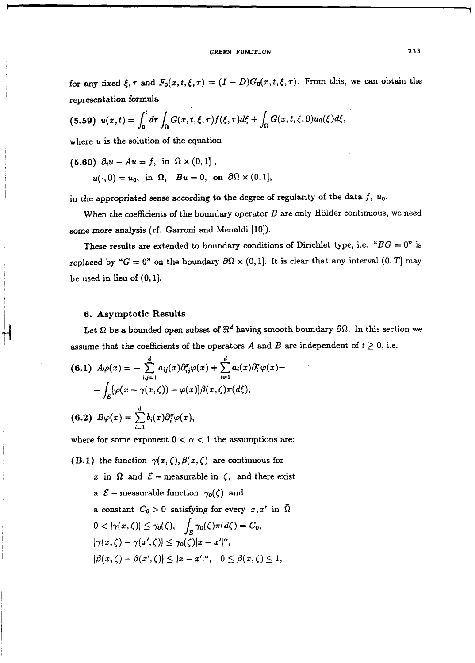### **GREEN FUNCTION 233**

for any fixed  $\xi, \tau$  and  $F_0(x,t,\xi,\tau) = (I - D)G_0(x,t,\xi,\tau)$ . From this, we can obtain the representation formula

(5.59) 
$$
u(x,t) = \int_0^t d\tau \int_{\Omega} G(x,t,\xi,\tau) f(\xi,\tau) d\xi + \int_{\Omega} G(x,t,\xi,0) u_0(\xi) d\xi,
$$

where *u* is the solution of the equation

(5.60) 
$$
\partial_t u - Au = f
$$
, in  $\Omega \times (0,1]$ ,  
 $u(\cdot, 0) = u_0$ , in  $\Omega$ ,  $Bu = 0$ , on  $\partial\Omega \times (0,1]$ ,

in the appropriated sense according to the degree of regularity of the data f, *uo.* 

When the coefficients of the boundary operator  $B$  are only Hölder continuous, we need some more analysis (cf. Garroni and Menaldi *[lo]).* 

These results are extended to boundary conditions of Dirichlet type, i.e. " $BG = 0$ " is replaced by " $G = 0$ " on the boundary  $\partial \Omega \times (0,1]$ . It is clear that any interval  $(0,T]$  may be used in lieu of *(0, 11.* 

### **6.** Asymptotic Results

Let  $\Omega$  be a bounded open subset of  $\mathbb{R}^d$  having smooth boundary  $\partial\Omega$ . In this section we assume that the coefficients of the operators  $A$  and  $B$  are independent of  $t \geq 0$ , i.e.

(6.1) 
$$
A\varphi(x) = -\sum_{i,j=1}^{d} a_{ij}(x)\partial_{ij}^{x}\varphi(x) + \sum_{i=1}^{d} a_{i}(x)\partial_{i}^{x}\varphi(x) -
$$

$$
-\int_{E} [\varphi(x + \gamma(x,\zeta)) - \varphi(x)]\beta(x,\zeta)\pi(d\xi),
$$
  
(6.2) 
$$
B\varphi(x) = \sum_{i=1}^{d} b_{i}(x)\partial_{i}^{x}\varphi(x),
$$

where for some exponent  $0 < \alpha < 1$  the assumptions are:

**(B.1)** the function  $\gamma(x, \zeta), \beta(x, \zeta)$  are continuous for

*x* in  $\overline{\Omega}$  and  $\mathcal{E}$  - measurable in  $\zeta$ , and there exist a  $\mathcal{E}$  – measurable function  $\gamma_0(\zeta)$  and a constant  $C_0 > 0$  satisfying for every  $x, x'$  in  $\overline{\Omega}$  $0<\left|\gamma(x,\zeta)\right|\leq \gamma_0(\zeta),\quad \int_E\gamma_0(\zeta)\pi(d\zeta)=C_0,$  $|\gamma(x,\zeta)-\gamma(x',\zeta)|\leq \gamma_0(\zeta)|x-x'|^{\alpha},$  $|\beta(x,\zeta) - \beta(x',\zeta)| \le |x - x'|^{\alpha}, \quad 0 \le \beta(x,\zeta) \le 1,$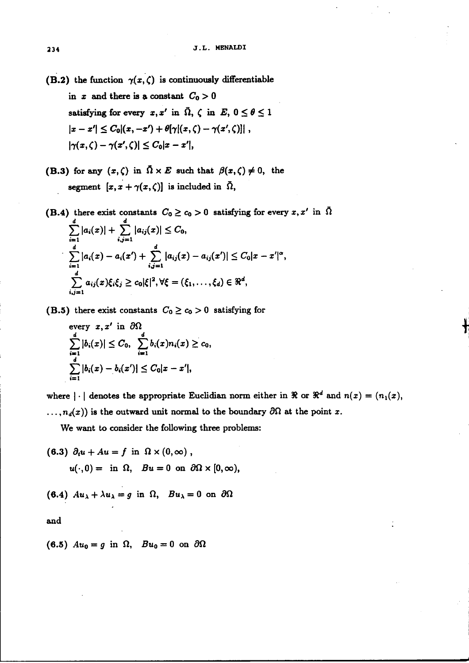(B.2) the function  $\gamma(x,\zeta)$  is continuously differentiable in x and there is a constant  $C_0 > 0$ satisfying for every  $x, x'$  in  $\overline{\Omega}$ ,  $\zeta$  in  $E$ ,  $0 \le \theta \le 1$  $|x - x'| \leq C_0 |(x, -x') + \theta[\gamma](x, \zeta) - \gamma(x', \zeta)|$ ,  $|\gamma(x, \zeta) - \gamma(x', \zeta)| \leq C_0 |x - x'|,$ 

(B.3) for any  $(x, \zeta)$  in  $\overline{\Omega} \times E$  such that  $\beta(x, \zeta) \neq 0$ , the segment  $[x, x + \gamma(x, \zeta)]$  is included in  $\overline{\Omega}$ ,

(B.4) there exist constants  $C_0 \ge c_0 > 0$  satisfying for every  $x, x'$  in  $\Omega$ <br> $\sum_{i=1}^d |a_i(x)| + \sum_{i=1}^d |a_i(x)| \le C_0$ .

$$
\sum_{i=1}^{d} |a_i(x) - a_i(x') + \sum_{i,j=1}^{d} |a_{ij}(x) - a_{ij}(x')| \leq C_0 |x - x'|^{\alpha},
$$
  

$$
\sum_{i,j=1}^{d} a_{ij}(x) \xi_i \xi_j \geq c_0 |\xi|^2, \forall \xi = (\xi_1, \ldots, \xi_d) \in \Re^d,
$$

(B.5) there exist constants  $C_0 \ge c_0 > 0$  satisfying for

every 
$$
x, x'
$$
 in  $\partial\Omega$   
\n
$$
\sum_{i=1}^d |b_i(x)| \leq C_0, \sum_{i=1}^d b_i(x)n_i(x) \geq c_0,
$$
\n
$$
\sum_{i=1}^d |b_i(x) - b_i(x')| \leq C_0|x - x'|,
$$

where  $|\cdot|$  denotes the appropriate Euclidian norm either in  $\Re$  or  $\Re^d$  and  $n(x) = (n_1(x),$  $\ldots$ ,  $n_d(x)$ ) is the outward unit normal to the boundary  $\partial\Omega$  at the point x.

We want to consider the following three problems:

(6.3) 
$$
\partial_t u + Au = f
$$
 in  $\Omega \times (0, \infty)$ ,  
 $u(\cdot, 0) = \text{ in } \Omega, \quad Bu = 0 \text{ on } \partial\Omega \times [0, \infty)$ ,

(6.4) 
$$
Au_{\lambda} + \lambda u_{\lambda} = g
$$
 in  $\Omega$ ,  $Bu_{\lambda} = 0$  on  $\partial\Omega$ 

and

(6.5)  $Au_0 = g$  in  $\Omega$ ,  $Bu_0 = 0$  on  $\partial \Omega$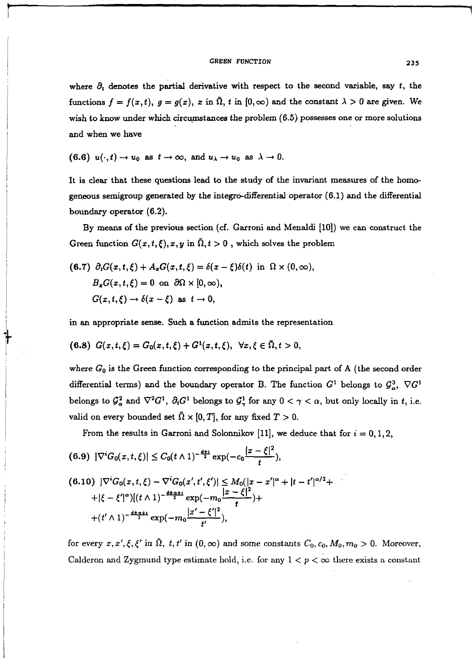### **GREEN FUNCTION 235**

where  $\partial_t$  denotes the partial derivative with respect to the second variable, say t, the functions  $f = f(x, t)$ ,  $g = g(x)$ , x in  $\overline{\Omega}$ , t in  $[0, \infty)$  and the constant  $\lambda > 0$  are given. We wish to know under which circumstances the problem  $(6.5)$  possesses one or more solutions and when we have

(6.6) 
$$
u(\cdot,t) \to u_0
$$
 as  $t \to \infty$ , and  $u_{\lambda} \to u_0$  as  $\lambda \to 0$ .

It is clear that these questions lead to the study of the invariant measures of the homogeneous semigroup generated by the integro-differential operator (6.1) and the differential boundary operator (6.2).

By means of the previous section (cf. Garroni and Menaldi *[lo])* we can construct the Green function  $G(x, t, \xi), x, y$  in  $\overline{\Omega}, t > 0$ , which solves the problem

(6.7) 
$$
\partial_t G(x, t, \xi) + A_x G(x, t, \xi) = \delta(x - \xi) \delta(t)
$$
 in  $\Omega \times (0, \infty)$ ,  
\n $B_x G(x, t, \xi) = 0$  on  $\partial \Omega \times [0, \infty)$ ,  
\n $G(x, t, \xi) \rightarrow \delta(x - \xi)$  as  $t \rightarrow 0$ ,

in an appropriate sense. Such a function admits the representation

$$
(6.8) G(x,t,\xi) = G_0(x,t,\xi) + G^1(x,t,\xi), \ \forall x,\xi \in \bar{\Omega}, t > 0,
$$

where *Go* is the Green function corresponding to the principal part of A (the second order differential terms) and the boundary operator B. The function  $G^1$  belongs to  $\mathcal{G}^3_\alpha$ ,  $\nabla G^1$ belongs to  $\mathcal{G}_\alpha^2$  and  $\nabla^2 G^1$ ,  $\partial_t G^1$  belongs to  $\mathcal{G}_\gamma^1$  for any  $0 < \gamma < \alpha$ , but only locally in *t*, i.e. valid on every bounded set  $\overline{\Omega} \times [0, T]$ , for any fixed  $T > 0$ .

From the results in Garroni and Solonnikov [11], we deduce that for  $i = 0, 1, 2$ ,

$$
(6.9) |\nabla^i G_0(x,t,\xi)| \leq C_0 (t \wedge 1)^{-\frac{d+i}{2}} \exp(-c_0 \frac{|x-\xi|^2}{t}),
$$

$$
(6.10) \ |\nabla^i G_0(x, t, \xi) - \nabla^i G_0(x', t', \xi')| \leq M_0(|x - x'|^{\alpha} + |t - t'|^{\alpha/2} +
$$
  
 
$$
+ |\xi - \xi'|^{\alpha}) [(t \wedge 1)^{-\frac{d+\alpha}{2}i} \exp(-m_0 \frac{|x - \xi|^2}{t}) +
$$
  
 
$$
+ (t' \wedge 1)^{-\frac{d+\alpha}{2}i} \exp(-m_0 \frac{|x' - \xi'|^2}{t'}),
$$

for every  $x, x', \xi, \xi'$  in  $\overline{\Omega}$ ,  $t, t'$  in  $(0, \infty)$  and some constants  $C_0, c_0, M_0, m_0 > 0$ . Moreover, Calderon and Zygmund type estimate hold, i.e. for any  $1 < p < \infty$  there exists a constant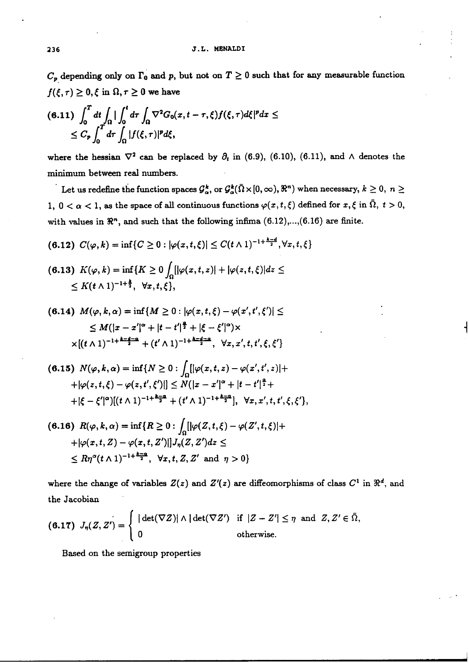### **236 J.L. MENALDI**

 $C_p$  depending only on  $\Gamma_0$  and *p*, but not on  $T \geq 0$  such that for any measurable function  $f(\xi,\tau) \geq 0, \xi$  in  $\Omega, \tau \geq 0$  we have

$$
(6.11)\ \int_0^T dt \int_{\Omega} |\int_0^t d\tau \int_{\Omega} \nabla^2 G_0(x,t-\tau,\xi) f(\xi,\tau) d\xi|^p dx \le
$$
  

$$
\le C_p \int_0^T d\tau \int_{\Omega} |f(\xi,\tau)|^p d\xi,
$$

where the hessian  $\nabla^2$  can be replaced by  $\partial_t$  in (6.9), (6.10), (6.11), and  $\wedge$  denotes the minimum between real numbers.

Let us redefine the function spaces  $\mathcal{G}_{\alpha}^{k}$ , or  $\mathcal{G}_{\alpha}^{k}(\bar{\Omega}\times[0,\infty), \mathbb{R}^{n})$  when necessary,  $k\geq 0, n\geq 0$ 1,  $0 < \alpha < 1$ , as the space of all continuous functions  $\varphi(x, t, \xi)$  defined for  $x, \xi$  in  $\overline{\Omega}$ ,  $t > 0$ , with values in  $\mathbb{R}^n$ , and such that the following infima (6.12),...,(6.16) are finite.

(6.12)  $C(\varphi, k) = \inf\{C \ge 0 : |\varphi(x, t, \xi)| \le C(t \wedge 1)^{-1 + \frac{k-d}{2}}, \forall x, t, \xi\}$ 

$$
(6.13) \ K(\varphi, k) = \inf \{ K \ge 0 \int_{\Omega} [|\varphi(x, t, z)| + |\varphi(z, t, \xi)| dz \le
$$
  
\$\le K(t \wedge 1)^{-1+\frac{k}{2}}, \ \forall x, t, \xi\$},

$$
(6.14) \ M(\varphi, k, \alpha) = \inf \{ M \ge 0 : |\varphi(x, t, \xi) - \varphi(x', t', \xi')| \le
$$
  
 
$$
\le M(|x - x'|^{\alpha} + |t - t'|^{\frac{\alpha}{2}} + |\xi - \xi'|^{\alpha}) \times
$$
  
 
$$
\times [(t \wedge 1)^{-1 + \frac{k - d - \alpha}{2}} + (t' \wedge 1)^{-1 + \frac{k - d - \alpha}{2}}, \ \forall x, x', t, t', \xi, \xi' \}
$$

$$
(6.15) N(\varphi, k, \alpha) = \inf \{ N \ge 0 : \int_{\Omega} [|\varphi(x, t, z) - \varphi(x', t', z)| +
$$
  
 
$$
+ |\varphi(z, t, \xi) - \varphi(z, t', \xi')|] \le N(|x - x'|^{\alpha} + |t - t'|^{\frac{\alpha}{2}} +
$$
  
 
$$
+ |\xi - \xi'|^{\alpha} |[(t \wedge 1)^{-1 + \frac{k - \alpha}{2}} + (t' \wedge 1)^{-1 + \frac{k - \alpha}{2}}], \ \forall x, x', t, t', \xi, \xi' \},
$$

$$
(6.16) \ \ R(\varphi, k, \alpha) = \inf\{R \ge 0 : \int_{\Omega} [|\varphi(Z, t, \xi) - \varphi(Z', t, \xi)| +
$$
  
 
$$
+ |\varphi(x, t, Z) - \varphi(x, t, Z')|] J_{\eta}(Z, Z') dz \le
$$
  
 
$$
\le R\eta^{\alpha}(t \wedge 1)^{-1 + \frac{k-\alpha}{2}}, \ \ \forall x, t, Z, Z' \ \text{ and } \ \eta > 0 \}
$$

where the change of variables  $Z(z)$  and  $Z'(z)$  are diffeomorphisms of class  $C^1$  in  $\Re^d$ , and the Jacobian

(6.17) 
$$
J_{\eta}(Z, Z') = \begin{cases} |\det(\nabla Z)| \wedge |\det(\nabla Z')| & \text{if } |Z - Z'| \leq \eta \text{ and } Z, Z' \in \bar{\Omega}, \\ 0 & \text{otherwise.} \end{cases}
$$

Based on the semigroup properties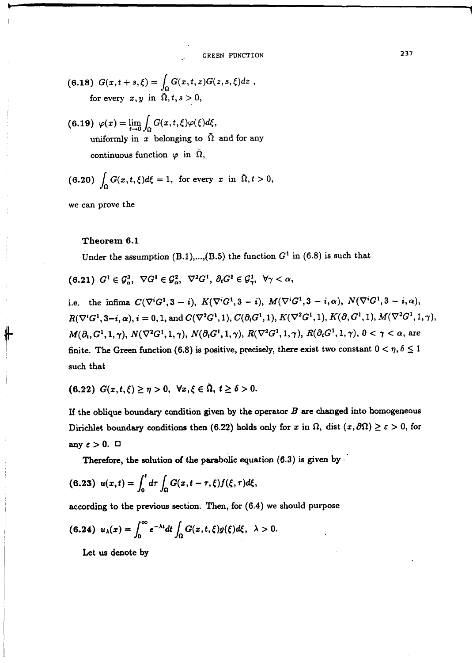, **GREEN FUNCTION 237** 

(6.18) 
$$
G(x,t+s,\xi) = \int_{\Omega} G(x,t,z)G(z,s,\xi)dz,
$$
for every  $x, y$  in  $\overline{\Omega}, t, s > 0$ ,

(6.19)  $\varphi(x) = \lim_{\epsilon \to 0} \int_{\epsilon} G(x, t, \xi) \varphi(\xi) d\xi,$ uniformly in x belonging to  $\bar{\Omega}$  and for any continuous function  $\varphi$  in  $\Omega$ ,

(6.20) 
$$
\int_{\Omega} G(x, t, \xi) d\xi = 1, \text{ for every } x \text{ in } \overline{\Omega}, t > 0,
$$

we can prove the

### Theorem 6.1

Under the assumption  $(B.1)$ ,..., $(B.5)$  the function  $G<sup>1</sup>$  in  $(6.8)$  is such that

 $(6.21)$   $G^1 \in \mathcal{G}^3$ ,  $\nabla G^1 \in \mathcal{G}^2$ ,  $\nabla^2 G^1$ ,  $\partial_i G^1 \in \mathcal{G}^1$ ,  $\forall \gamma < \alpha$ ,

i.e. the infima  $C(\nabla^i G^1, 3 - i)$ ,  $K(\nabla^i G^1, 3 - i)$ ,  $M(\nabla^i G^1, 3 - i, \alpha)$ ,  $N(\nabla^i G^1, 3 - i, \alpha)$ ,  $R(\nabla^{i}G^{1}, 3-i, \alpha), i = 0, 1, \text{ and } C(\nabla^{2}G^{1}, 1), C(\partial_{i}G^{1}, 1), K(\nabla^{2}G^{1}, 1), K(\partial_{i}G^{1}, 1), M(\nabla^{2}G^{1}, 1, \gamma),$  $M(\partial_t, G^1, 1, \gamma), N(\nabla^2 G^1, 1, \gamma), N(\partial_t G^1, 1, \gamma), R(\nabla^2 G^1, 1, \gamma), R(\partial_t G^1, 1, \gamma), 0 < \gamma < \alpha$ , are finite. The Green function (6.8) is positive, precisely, there exist two constant  $0 < \eta, \delta \leq 1$ such that

$$
(6.22) G(x,t,\xi) \geq \eta > 0, \ \forall x,\xi \in \overline{\Omega}, \ t \geq \delta > 0.
$$

If the oblique boundary condition given by the operator  $B$  are changed into homogeneous Dirichlet boundary conditions then (6.22) holds only for x in  $\Omega$ , dist  $(x, \partial \Omega) \ge \varepsilon > 0$ , for any  $\epsilon > 0$ .  $\Box$ 

Therefore, the solution of the parabolic equation  $(6.3)$  is given by  $\cdot$ 

$$
(6.23) \ \ u(x,t) = \int_0^t d\tau \int_{\Omega} G(x,t-\tau,\xi) f(\xi,\tau) d\xi,
$$

according to the previous section. Then, for  $(6.4)$  we should purpose

(6.24) 
$$
u_{\lambda}(x) = \int_0^{\infty} e^{-\lambda t} dt \int_{\Omega} G(x, t, \xi) g(\xi) d\xi, \lambda > 0.
$$

Let us denote by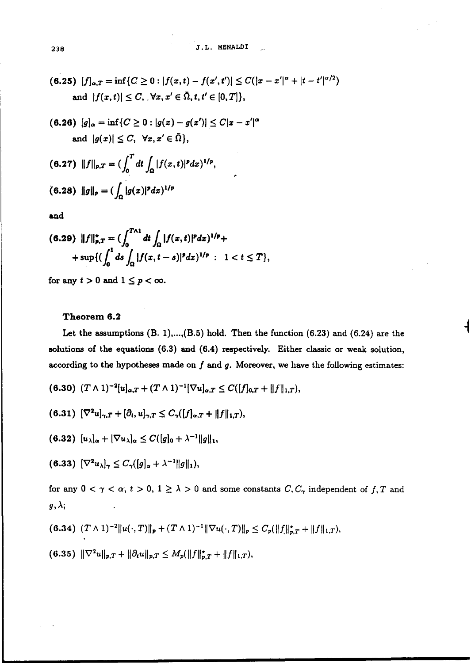(6.25)  $[f]_{\alpha,T} = \inf\{C \ge 0 : |f(x,t) - f(x',t')| \le C(|x - x'|^{\alpha} + |t - t'|^{\alpha/2})\}$ and  $|f(x,t)| \leq C$ ,  $\forall x, x' \in \overline{\Omega}, t, t' \in [0, T]$ ,

$$
(6.26) [g]_{\alpha} = \inf \{ C \ge 0 : |g(x) - g(x')| \le C|x - x'|^{\alpha} \}
$$
  
and  $|g(x)| \le C$ ,  $\forall x, x' \in \overline{\Omega} \},$ 

(6.27) 
$$
||f||_{p,T} = (\int_0^T dt \int_{\Omega} |f(x,t)|^p dx)^{1/p}
$$
  
(6.28)  $||g||_p = (\int_{\Omega} |g(x)|^p dx)^{1/p}$ 

and

$$
(6.29) \quad \|f\|_{p,T}^* = (\int_0^{T\wedge 1} dt \int_{\Omega} |f(x,t)|^p dx)^{1/p} + \quad + \sup\{(\int_0^1 ds \int_{\Omega} |f(x,t-s)|^p dx)^{1/p} : 1 < t \leq T\},
$$

for any  $t > 0$  and  $1 \leq p < \infty$ .

## **Theorem 6.2**

Let the assumptions (B. l), ...,( **B.5)** hold. Then the function (6.23) and (6.24) **are** the solutions of the equations (6.3) and (6.4) respectively. Either classic or weak solution, according to the hypotheses made on  $f$  and  $g$ . Moreover, we have the following estimates:

$$
(6.30) (T \wedge 1)^{-2} [u]_{\alpha,T} + (T \wedge 1)^{-1} [\nabla u]_{\alpha,T} \leq C([f]_{0,T} + ||f||_{1,T}),
$$

$$
(6.31) \ [\nabla^2 u]_{\gamma,T} + [\partial_t, u]_{\gamma,T} \leq C_{\gamma}([f]_{\alpha,T} + ||f||_{1,T})
$$

(6.32)  $[u_{\lambda}]_{\alpha} + [\nabla u_{\lambda}]_{\alpha} \leq C([g]_0 + \lambda^{-1} ||g||_1,$ 

(6.33)  $[\nabla^2 u_\lambda]_{\gamma} \leq C_{\gamma}([g]_{\alpha} + \lambda^{-1} ||g||_1),$ 

for any  $0 < \gamma < \alpha$ ,  $t > 0$ ,  $1 \ge \lambda > 0$  and some constants C, C<sub> $\gamma$ </sub> independent of f, T and  $g, \lambda;$ 

$$
(6.34) (T \wedge 1)^{-2} ||u(\cdot, T)||_p + (T \wedge 1)^{-1} ||\nabla u(\cdot, T)||_p \leq C_p(||f||_{p,T}^* + ||f||_{1,T}),
$$

(6.35)  $\|\nabla^2 u\|_{p,T} + \|\partial_t u\|_{p,T} \leq M_p(\|f\|_{p,T}^* + \|f\|_{1,T}),$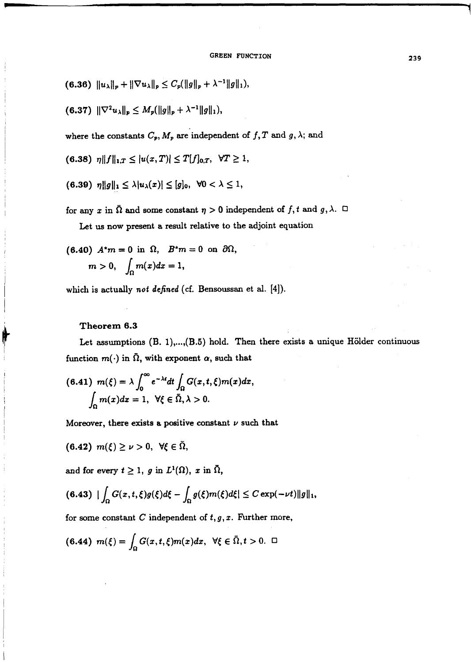- (6.36)  $||u_\lambda||_p + ||\nabla u_\lambda||_p \leq C_p(||g||_p + \lambda^{-1}||g||_1),$
- (6.37)  $\|\nabla^2 u_\lambda\|_p \leq M_p(\|g\|_p + \lambda^{-1} \|g\|_1),$

where the constants  $C_p$ ,  $M_p$  are independent of f, T and g,  $\lambda$ ; and

$$
(6.38) \ \eta \|f\|_{1,T} \leq |u(x,T)| \leq T[f]_{0,T}, \ \forall T \geq 1,
$$

$$
(6.39) \ \eta \|g\|_1 \leq \lambda |u_\lambda(x)| \leq [g]_0, \ \forall 0 < \lambda \leq 1,
$$

for any x in  $\overline{\Omega}$  and some constant  $\eta > 0$  independent of f, t and g,  $\lambda$ .  $\Box$ Let us now present a result relative to the adjoint equation

(6.40) 
$$
A^*m = 0
$$
 in  $\Omega$ ,  $B^*m = 0$  on  $\partial\Omega$ ,  
\n $m > 0$ ,  $\int_{\Omega} m(x) dx = 1$ ,

which is actually *not defined* (cf. Bensoussan et **al. [4]).** 

### **Theorem 6.3**

Ĥ

Let assumptions (B. 1),...,(B.5) hold. Then there exists a unique Hölder continuous function  $m(\cdot)$  in  $\overline{\Omega}$ , with exponent  $\alpha$ , such that

$$
(6.41) \ \ m(\xi) = \lambda \int_0^\infty e^{-\lambda t} dt \int_{\Omega} G(x, t, \xi) m(x) dx,
$$

$$
\int_{\Omega} m(x) dx = 1, \ \ \forall \xi \in \overline{\Omega}, \lambda > 0.
$$

Moreover, there exists a positive constant  $\nu$  such that

$$
(6.42) m(\xi) \geq \nu > 0, \ \forall \xi \in \Omega,
$$

and for every  $t \geq 1$ , g in  $L^1(\Omega)$ , x in  $\overline{\Omega}$ ,

$$
(6.43)\|\int_{\Omega}G(x,t,\xi)g(\xi)d\xi-\int_{\Omega}g(\xi)m(\xi)d\xi|\leq C\exp(-\nu t)\|g\|_1,
$$

for some constant  $C$  independent of  $t, g, x$ . Further more,

$$
(6.44) \ \ m(\xi)=\int_{\Omega}G(x,t,\xi)m(x)dx, \ \ \forall \xi\in\bar{\Omega}, t>0. \ \ \Box
$$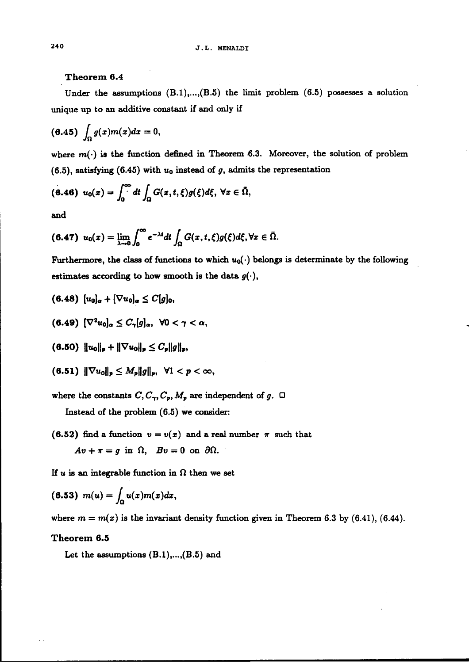### Theorem 6.4

Under the assumptions  $(B.1), \ldots, (B.5)$  the limit problem  $(6.5)$  possesses a solution unique up to an additive constant if and only if

$$
(6.45)\int_{\Omega}g(x)m(x)dx=0,
$$

where  $m(\cdot)$  is the function defined in Theorem 6.3. Moreover, the solution of problem (6.5), satisfying (6.45) with  $u_0$  instead of g, admits the representation

$$
(6.46) \ \ u_0(x)=\int_0^\infty dt \int_\Omega G(x,t,\xi)g(\xi)d\xi, \ \forall x\in\bar{\Omega},
$$

and

$$
(6.47) \ \ u_0(x)=\lim_{\lambda\to 0}\int_0^\infty e^{-\lambda t}dt\int_{\Omega}G(x,t,\xi)g(\xi)d\xi, \forall x\in\bar{\Omega}.
$$

Furthermore, the class of functions to which  $u_0(\cdot)$  belongs is determinate by the following estimates according to how smooth is the data  $g(\cdot)$ ,

$$
(6.48)\ \ [u_0]_\alpha+[\nabla u_0]_\alpha\leq C[g]_0,
$$

 $(6.49)$   $[\nabla^2 u_0]_a \leq C_{\gamma}[g]_a, \ \forall 0 < \gamma < \alpha,$ 

 $(6.50)$   $\|u_0\|_p + \|\nabla u_0\|_p \leq C_p \|g\|_p,$ 

$$
(6.51) \|\nabla u_0\|_p \leq M_p \|g\|_p, \ \forall 1 < p < \infty,
$$

where the constants  $C, C_{\gamma}, C_{p}, M_{p}$  are independent of g.  $\Box$ 

Instead of the problem (6.5) we consider:

(6.52) find a function  $v = v(x)$  and a real number  $\pi$  such that  $Av+\pi=g$  in  $\Omega$ ,  $Bv=0$  on  $\partial\Omega$ .

If u is an integrable function in  $\Omega$  then we set

$$
(6.53) m(u) = \int_{\Omega} u(x)m(x)dx,
$$

where  $m = m(x)$  is the invariant density function given in Theorem 6.3 by (6.41), (6.44).

# Theorem 6.5

Let the assumptions  $(B.1), ..., (B.5)$  and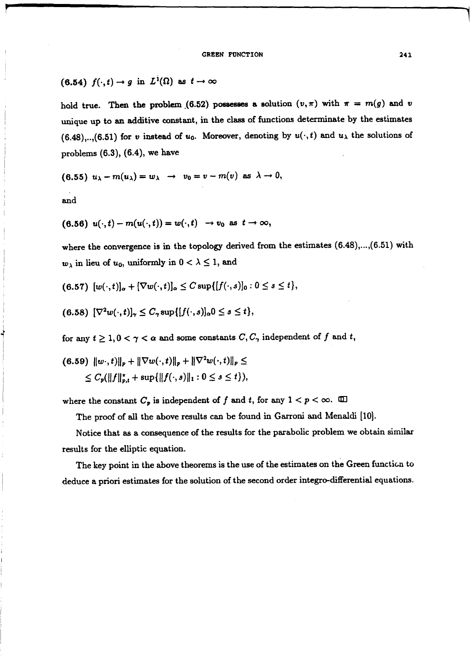(6.54)  $f(\cdot,t) \to g$  in  $L^1(\Omega)$  as  $t \to \infty$ 

hold true. Then the problem (6.52) possesses a solution  $(v, \pi)$  with  $\pi = m(g)$  and  $v$ unique up to an additive constant, in the class of functions determinate by the estimates  $(6.48),...$ ,(6.51) for *v* instead of *u*<sub>0</sub>. Moreover, denoting by  $u(\cdot,t)$  and  $u_{\lambda}$  the solutions of problems **(6.3),** *(6.4),* we have

$$
(6.55) u_{\lambda} - m(u_{\lambda}) = w_{\lambda} \rightarrow v_0 = v - m(v) \text{ as } \lambda \rightarrow 0,
$$

and

$$
(6.56) u(\cdot,t) - m(u(\cdot,t)) = w(\cdot,t) \rightarrow v_0 \text{ as } t \rightarrow \infty,
$$

where the convergence is in the topology derived from the estimates  $(6.48)$ ,..., $(6.51)$  with  $w_{\lambda}$  in lieu of  $u_0$ , uniformly in  $0 < \lambda \leq 1$ , and

$$
(6.57) \left[ w(\cdot,t) \right]_{\alpha} + \left[ \nabla w(\cdot,t) \right]_{\alpha} \leq C \sup \{ \left[ f(\cdot,s) \right]_{0} : 0 \leq s \leq t \},
$$

$$
(6.58) \left[\nabla^2 w(\cdot,t)\right]_{\gamma} \leq C_{\gamma} \sup\{[f(\cdot,s)]_{\alpha} 0 \leq s \leq t\},
$$

for any  $t \geq 1, 0 < \gamma < \alpha$  and some constants  $C, C_{\gamma}$  independent of f and t,

$$
(6.59) \ \|w\cdot,t)\|_p + \|\nabla w(\cdot,t)\|_p + \|\nabla^2 w(\cdot,t)\|_p \le
$$
  
\$\leq C\_p(\|f\|\_{p,t}^\* + \sup\{\|f(\cdot,s)\|\_1 : 0 \leq s \leq t\}),

where the constant  $C_p$  is independent of f and t, for any  $1 < p < \infty$ .  $\Box$ 

The proof of all the above results can be found in Garroni and Menaldi [10].

Notice that **as** a consequence of the results for the parabolic problem we obtain similar results for the elliptic equation.

The key point in the above theorems is the use of the estimates on the Green functicn to deduce a priori estimates for the solution of the second order integro-differential equations.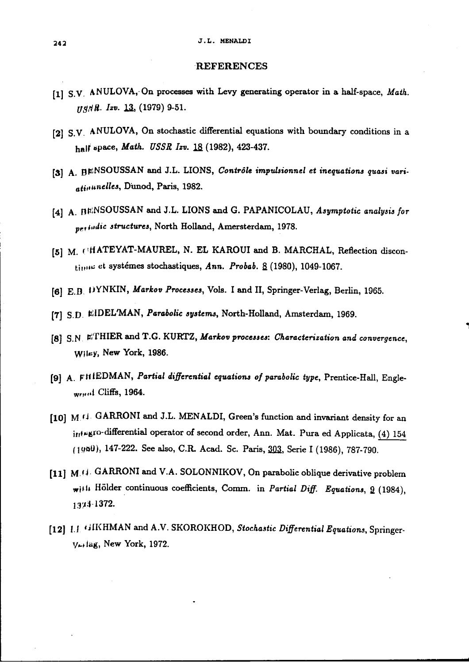#### **J.L. MENALDI**

### **REFERENCES**

- [1] S.V. ANULOVA, On processes with Levy generating operator in a half-space, Math. *ugaR. Izv.* 13, (1979) 9-51.
- **[21** S.V ANULOVA, On stochastic differential equations with boundary conditions in a half space, Math. USSR Izv. 18 (1982), 423-437.
- [3] A. BENSOUSSAN and J.L. LIONS, Contrôle impulsionnel et inequations quasi variatinunelles, Dunod, Paris, 1982.
- [4] A. BENSOUSSAN and J.L. LIONS and G. PAPANICOLAU, Asymptotic analysis for perindic structures, North Holland, Amersterdam, 1978.
- [5] M. ('HATEYAT-MAUREL, N. EL KAROUI and B. MARCHAL, Reflection discontimus et systémes stochastiques, Ann. Probab. 8 (1980), 1049-1067.
- **[(j]** E.D IJYNKIN, Markov Processes, Vols. I and 11, Springer-Verlag, Berlin, 1965.
- **[TI** S,D EIDEL'MAN, Parabolic systems, North-Holland, Amsterdam, 1969.
- [8] S.N. ETHIER and T.G. KURTZ, Markov processes: Characterization and convergence, **wll~y,** New York, 1986.
- **[g]** A. **FH** IEDMAN, Partial differential equations of parabolic type, Prentice-Hall, Engle- ,,,,, **~i** Cliffs, 1964.
- **[lo] M ri** GARRONI and J.L. MENALDI, Green's function and invariant density for **an**  integro-differential operator of second order, Ann. Mat. Pura ed Applicata, (4) 154 (1980), 147-222. See also, C.R. Acad. Sc. Paris, 303, Serie I (1986), 787-790.
- **[11] M (1** GARRONI and **V.A.** SOLONNIKOV, On parabolic oblique derivative problem **,jrh** Holder continuous coefficients, Comm. in Partial Difl Equations, **9** (1984), 18%-1372.
- [12] **1.1 GIKHMAN and A.V. SKOROKHOD**, Stochastic Differential Equations, Springer-**~/~tLdg,** New York, 1972.